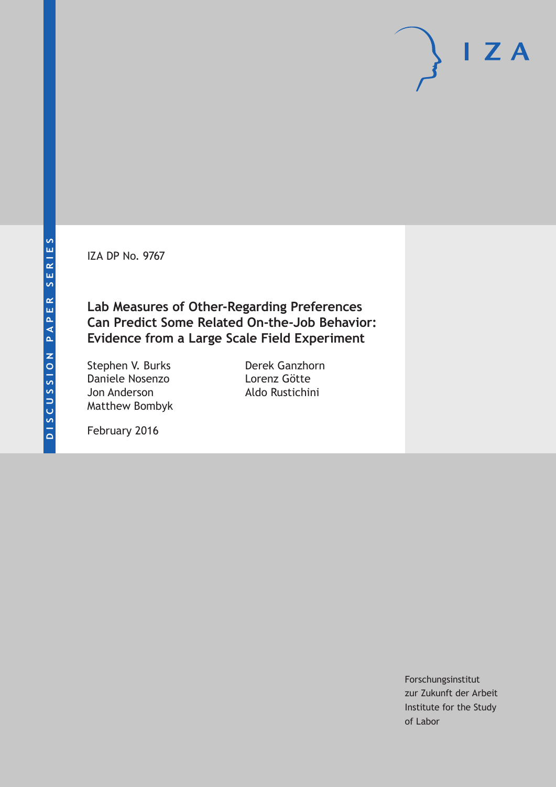IZA DP No. 9767

**Lab Measures of Other-Regarding Preferences Can Predict Some Related On-the-Job Behavior: Evidence from a Large Scale Field Experiment**

Stephen V. Burks Daniele Nosenzo Jon Anderson Matthew Bombyk

Derek Ganzhorn Lorenz Götte Aldo Rustichini

February 2016

Forschungsinstitut zur Zukunft der Arbeit Institute for the Study of Labor

 $I Z A$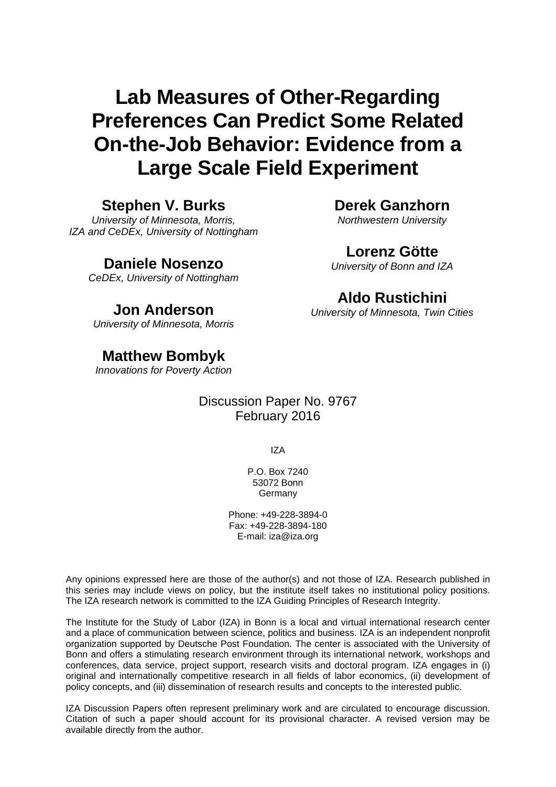# **Lab Measures of Other-Regarding Preferences Can Predict Some Related On-the-Job Behavior: Evidence from a Large Scale Field Experiment**

### **Stephen V. Burks**

*University of Minnesota, Morris, IZA and CeDEx, University of Nottingham* 

### **Daniele Nosenzo**

*CeDEx, University of Nottingham* 

### **Jon Anderson**

*University of Minnesota, Morris*

## **Matthew Bombyk**

*Innovations for Poverty Action* 

### Discussion Paper No. 9767 February 2016

IZA

P.O. Box 7240 53072 Bonn Germany

Phone: +49-228-3894-0 Fax: +49-228-3894-180 E-mail: iza@iza.org

Any opinions expressed here are those of the author(s) and not those of IZA. Research published in this series may include views on policy, but the institute itself takes no institutional policy positions. The IZA research network is committed to the IZA Guiding Principles of Research Integrity.

The Institute for the Study of Labor (IZA) in Bonn is a local and virtual international research center and a place of communication between science, politics and business. IZA is an independent nonprofit organization supported by Deutsche Post Foundation. The center is associated with the University of Bonn and offers a stimulating research environment through its international network, workshops and conferences, data service, project support, research visits and doctoral program. IZA engages in (i) original and internationally competitive research in all fields of labor economics, (ii) development of policy concepts, and (iii) dissemination of research results and concepts to the interested public.

IZA Discussion Papers often represent preliminary work and are circulated to encourage discussion. Citation of such a paper should account for its provisional character. A revised version may be available directly from the author.

### **Derek Ganzhorn**

*Northwestern University* 

### **Lorenz Götte**

*University of Bonn and IZA*

### **Aldo Rustichini**

*University of Minnesota, Twin Cities*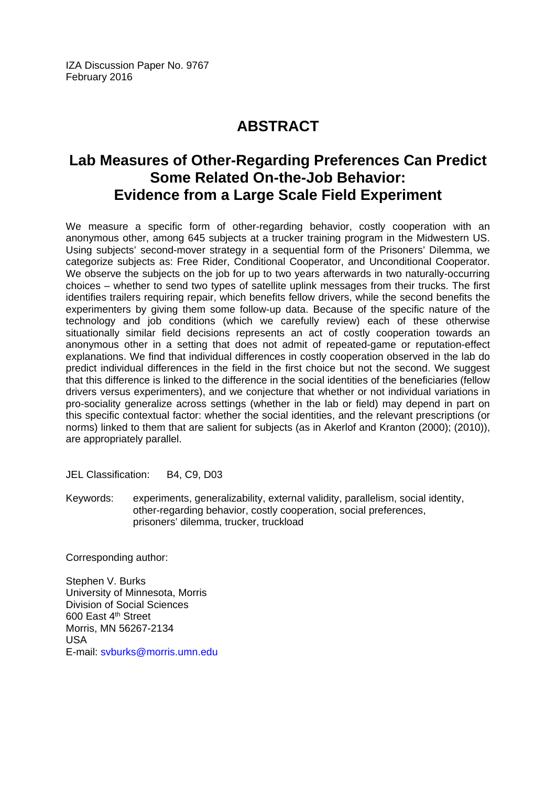## **ABSTRACT**

## **Lab Measures of Other-Regarding Preferences Can Predict Some Related On-the-Job Behavior: Evidence from a Large Scale Field Experiment**

We measure a specific form of other-regarding behavior, costly cooperation with an anonymous other, among 645 subjects at a trucker training program in the Midwestern US. Using subjects' second-mover strategy in a sequential form of the Prisoners' Dilemma, we categorize subjects as: Free Rider, Conditional Cooperator, and Unconditional Cooperator. We observe the subjects on the job for up to two years afterwards in two naturally-occurring choices – whether to send two types of satellite uplink messages from their trucks. The first identifies trailers requiring repair, which benefits fellow drivers, while the second benefits the experimenters by giving them some follow-up data. Because of the specific nature of the technology and job conditions (which we carefully review) each of these otherwise situationally similar field decisions represents an act of costly cooperation towards an anonymous other in a setting that does not admit of repeated-game or reputation-effect explanations. We find that individual differences in costly cooperation observed in the lab do predict individual differences in the field in the first choice but not the second. We suggest that this difference is linked to the difference in the social identities of the beneficiaries (fellow drivers versus experimenters), and we conjecture that whether or not individual variations in pro-sociality generalize across settings (whether in the lab or field) may depend in part on this specific contextual factor: whether the social identities, and the relevant prescriptions (or norms) linked to them that are salient for subjects (as in Akerlof and Kranton (2000); (2010)), are appropriately parallel.

JEL Classification: B4, C9, D03

Keywords: experiments, generalizability, external validity, parallelism, social identity, other-regarding behavior, costly cooperation, social preferences, prisoners' dilemma, trucker, truckload

Corresponding author:

Stephen V. Burks University of Minnesota, Morris Division of Social Sciences 600 East 4th Street Morris, MN 56267-2134 USA E-mail: svburks@morris.umn.edu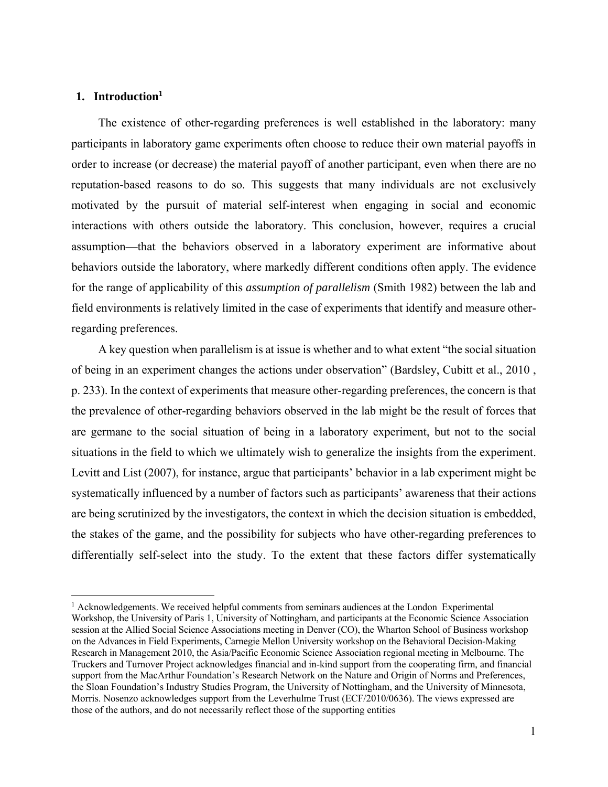#### **1. Introduction1**

 $\overline{a}$ 

The existence of other-regarding preferences is well established in the laboratory: many participants in laboratory game experiments often choose to reduce their own material payoffs in order to increase (or decrease) the material payoff of another participant, even when there are no reputation-based reasons to do so. This suggests that many individuals are not exclusively motivated by the pursuit of material self-interest when engaging in social and economic interactions with others outside the laboratory. This conclusion, however, requires a crucial assumption—that the behaviors observed in a laboratory experiment are informative about behaviors outside the laboratory, where markedly different conditions often apply. The evidence for the range of applicability of this *assumption of parallelism* (Smith 1982) between the lab and field environments is relatively limited in the case of experiments that identify and measure otherregarding preferences.

A key question when parallelism is at issue is whether and to what extent "the social situation of being in an experiment changes the actions under observation" (Bardsley, Cubitt et al., 2010 , p. 233). In the context of experiments that measure other-regarding preferences, the concern is that the prevalence of other-regarding behaviors observed in the lab might be the result of forces that are germane to the social situation of being in a laboratory experiment, but not to the social situations in the field to which we ultimately wish to generalize the insights from the experiment. Levitt and List (2007), for instance, argue that participants' behavior in a lab experiment might be systematically influenced by a number of factors such as participants' awareness that their actions are being scrutinized by the investigators, the context in which the decision situation is embedded, the stakes of the game, and the possibility for subjects who have other-regarding preferences to differentially self-select into the study. To the extent that these factors differ systematically

<sup>&</sup>lt;sup>1</sup> Acknowledgements. We received helpful comments from seminars audiences at the London Experimental Workshop, the University of Paris 1, University of Nottingham, and participants at the Economic Science Association session at the Allied Social Science Associations meeting in Denver (CO), the Wharton School of Business workshop on the Advances in Field Experiments, Carnegie Mellon University workshop on the Behavioral Decision-Making Research in Management 2010, the Asia/Pacific Economic Science Association regional meeting in Melbourne. The Truckers and Turnover Project acknowledges financial and in-kind support from the cooperating firm, and financial support from the MacArthur Foundation's Research Network on the Nature and Origin of Norms and Preferences, the Sloan Foundation's Industry Studies Program, the University of Nottingham, and the University of Minnesota, Morris. Nosenzo acknowledges support from the Leverhulme Trust (ECF/2010/0636). The views expressed are those of the authors, and do not necessarily reflect those of the supporting entities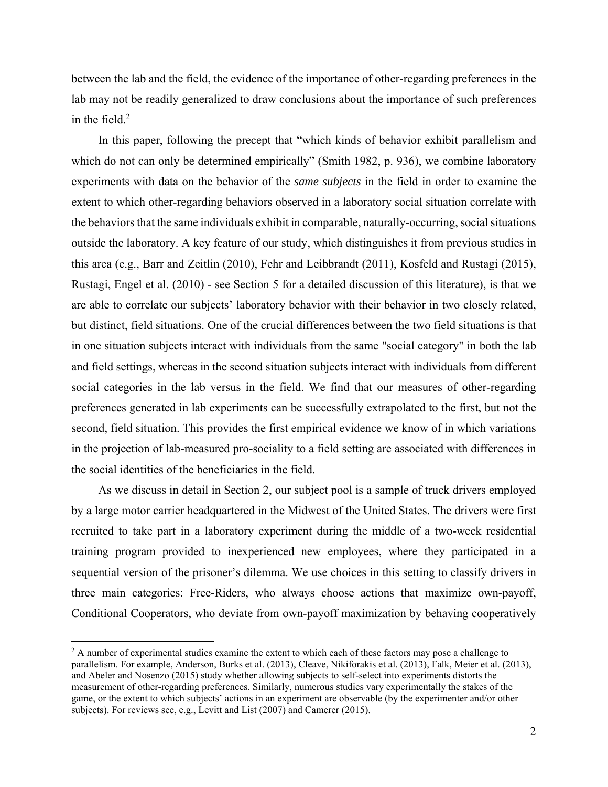between the lab and the field, the evidence of the importance of other-regarding preferences in the lab may not be readily generalized to draw conclusions about the importance of such preferences in the field. $2$ 

In this paper, following the precept that "which kinds of behavior exhibit parallelism and which do not can only be determined empirically" (Smith 1982, p. 936), we combine laboratory experiments with data on the behavior of the *same subjects* in the field in order to examine the extent to which other-regarding behaviors observed in a laboratory social situation correlate with the behaviors that the same individuals exhibit in comparable, naturally-occurring, social situations outside the laboratory. A key feature of our study, which distinguishes it from previous studies in this area (e.g., Barr and Zeitlin (2010), Fehr and Leibbrandt (2011), Kosfeld and Rustagi (2015), Rustagi, Engel et al. (2010) - see Section 5 for a detailed discussion of this literature), is that we are able to correlate our subjects' laboratory behavior with their behavior in two closely related, but distinct, field situations. One of the crucial differences between the two field situations is that in one situation subjects interact with individuals from the same "social category" in both the lab and field settings, whereas in the second situation subjects interact with individuals from different social categories in the lab versus in the field. We find that our measures of other-regarding preferences generated in lab experiments can be successfully extrapolated to the first, but not the second, field situation. This provides the first empirical evidence we know of in which variations in the projection of lab-measured pro-sociality to a field setting are associated with differences in the social identities of the beneficiaries in the field.

As we discuss in detail in Section 2, our subject pool is a sample of truck drivers employed by a large motor carrier headquartered in the Midwest of the United States. The drivers were first recruited to take part in a laboratory experiment during the middle of a two-week residential training program provided to inexperienced new employees, where they participated in a sequential version of the prisoner's dilemma. We use choices in this setting to classify drivers in three main categories: Free-Riders, who always choose actions that maximize own-payoff, Conditional Cooperators, who deviate from own-payoff maximization by behaving cooperatively

<sup>&</sup>lt;sup>2</sup> A number of experimental studies examine the extent to which each of these factors may pose a challenge to parallelism. For example, Anderson, Burks et al. (2013), Cleave, Nikiforakis et al. (2013), Falk, Meier et al. (2013), and Abeler and Nosenzo (2015) study whether allowing subjects to self-select into experiments distorts the measurement of other-regarding preferences. Similarly, numerous studies vary experimentally the stakes of the game, or the extent to which subjects' actions in an experiment are observable (by the experimenter and/or other subjects). For reviews see, e.g., Levitt and List (2007) and Camerer (2015).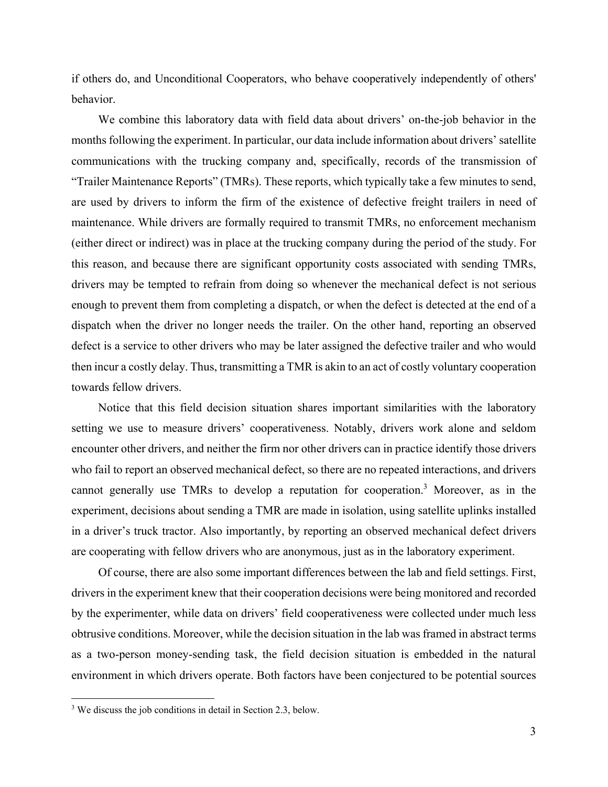if others do, and Unconditional Cooperators, who behave cooperatively independently of others' behavior.

We combine this laboratory data with field data about drivers' on-the-job behavior in the months following the experiment. In particular, our data include information about drivers' satellite communications with the trucking company and, specifically, records of the transmission of "Trailer Maintenance Reports" (TMRs). These reports, which typically take a few minutes to send, are used by drivers to inform the firm of the existence of defective freight trailers in need of maintenance. While drivers are formally required to transmit TMRs, no enforcement mechanism (either direct or indirect) was in place at the trucking company during the period of the study. For this reason, and because there are significant opportunity costs associated with sending TMRs, drivers may be tempted to refrain from doing so whenever the mechanical defect is not serious enough to prevent them from completing a dispatch, or when the defect is detected at the end of a dispatch when the driver no longer needs the trailer. On the other hand, reporting an observed defect is a service to other drivers who may be later assigned the defective trailer and who would then incur a costly delay. Thus, transmitting a TMR is akin to an act of costly voluntary cooperation towards fellow drivers.

Notice that this field decision situation shares important similarities with the laboratory setting we use to measure drivers' cooperativeness. Notably, drivers work alone and seldom encounter other drivers, and neither the firm nor other drivers can in practice identify those drivers who fail to report an observed mechanical defect, so there are no repeated interactions, and drivers cannot generally use TMRs to develop a reputation for cooperation.<sup>3</sup> Moreover, as in the experiment, decisions about sending a TMR are made in isolation, using satellite uplinks installed in a driver's truck tractor. Also importantly, by reporting an observed mechanical defect drivers are cooperating with fellow drivers who are anonymous, just as in the laboratory experiment.

Of course, there are also some important differences between the lab and field settings. First, drivers in the experiment knew that their cooperation decisions were being monitored and recorded by the experimenter, while data on drivers' field cooperativeness were collected under much less obtrusive conditions. Moreover, while the decision situation in the lab was framed in abstract terms as a two-person money-sending task, the field decision situation is embedded in the natural environment in which drivers operate. Both factors have been conjectured to be potential sources

<sup>&</sup>lt;sup>3</sup> We discuss the job conditions in detail in Section 2.3, below.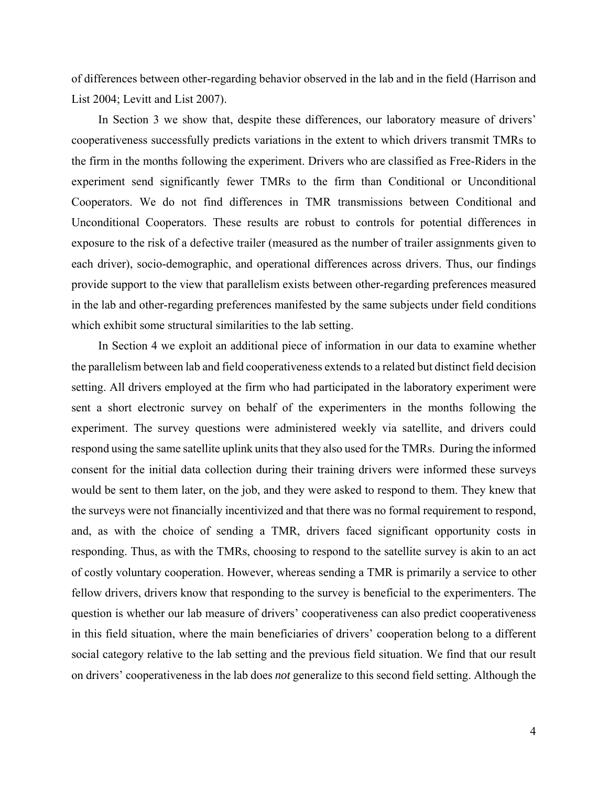of differences between other-regarding behavior observed in the lab and in the field (Harrison and List 2004; Levitt and List 2007).

In Section 3 we show that, despite these differences, our laboratory measure of drivers' cooperativeness successfully predicts variations in the extent to which drivers transmit TMRs to the firm in the months following the experiment. Drivers who are classified as Free-Riders in the experiment send significantly fewer TMRs to the firm than Conditional or Unconditional Cooperators. We do not find differences in TMR transmissions between Conditional and Unconditional Cooperators. These results are robust to controls for potential differences in exposure to the risk of a defective trailer (measured as the number of trailer assignments given to each driver), socio-demographic, and operational differences across drivers. Thus, our findings provide support to the view that parallelism exists between other-regarding preferences measured in the lab and other-regarding preferences manifested by the same subjects under field conditions which exhibit some structural similarities to the lab setting.

In Section 4 we exploit an additional piece of information in our data to examine whether the parallelism between lab and field cooperativeness extends to a related but distinct field decision setting. All drivers employed at the firm who had participated in the laboratory experiment were sent a short electronic survey on behalf of the experimenters in the months following the experiment. The survey questions were administered weekly via satellite, and drivers could respond using the same satellite uplink units that they also used for the TMRs. During the informed consent for the initial data collection during their training drivers were informed these surveys would be sent to them later, on the job, and they were asked to respond to them. They knew that the surveys were not financially incentivized and that there was no formal requirement to respond, and, as with the choice of sending a TMR, drivers faced significant opportunity costs in responding. Thus, as with the TMRs, choosing to respond to the satellite survey is akin to an act of costly voluntary cooperation. However, whereas sending a TMR is primarily a service to other fellow drivers, drivers know that responding to the survey is beneficial to the experimenters. The question is whether our lab measure of drivers' cooperativeness can also predict cooperativeness in this field situation, where the main beneficiaries of drivers' cooperation belong to a different social category relative to the lab setting and the previous field situation. We find that our result on drivers' cooperativeness in the lab does *not* generalize to this second field setting. Although the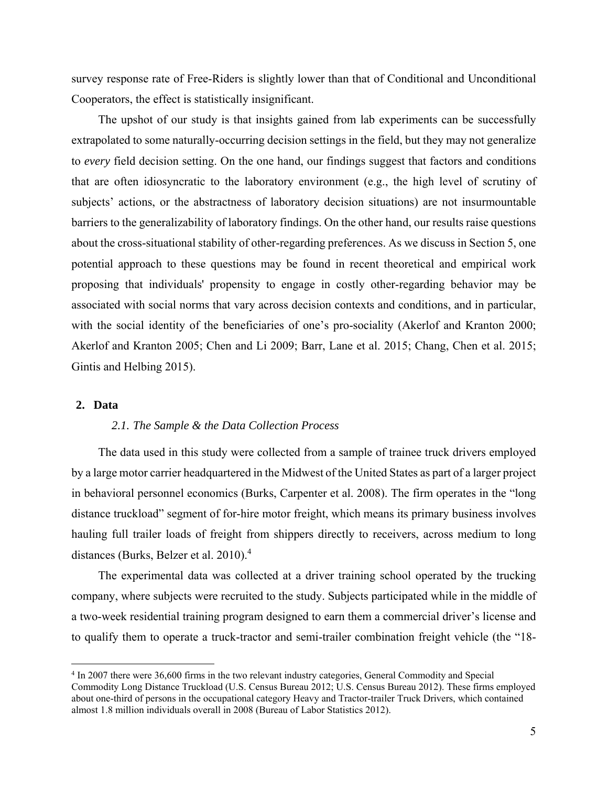survey response rate of Free-Riders is slightly lower than that of Conditional and Unconditional Cooperators, the effect is statistically insignificant.

The upshot of our study is that insights gained from lab experiments can be successfully extrapolated to some naturally-occurring decision settings in the field, but they may not generalize to *every* field decision setting. On the one hand, our findings suggest that factors and conditions that are often idiosyncratic to the laboratory environment (e.g., the high level of scrutiny of subjects' actions, or the abstractness of laboratory decision situations) are not insurmountable barriers to the generalizability of laboratory findings. On the other hand, our results raise questions about the cross-situational stability of other-regarding preferences. As we discuss in Section 5, one potential approach to these questions may be found in recent theoretical and empirical work proposing that individuals' propensity to engage in costly other-regarding behavior may be associated with social norms that vary across decision contexts and conditions, and in particular, with the social identity of the beneficiaries of one's pro-sociality (Akerlof and Kranton 2000; Akerlof and Kranton 2005; Chen and Li 2009; Barr, Lane et al. 2015; Chang, Chen et al. 2015; Gintis and Helbing 2015).

#### **2. Data**

#### *2.1. The Sample & the Data Collection Process*

The data used in this study were collected from a sample of trainee truck drivers employed by a large motor carrier headquartered in the Midwest of the United States as part of a larger project in behavioral personnel economics (Burks, Carpenter et al. 2008). The firm operates in the "long distance truckload" segment of for-hire motor freight, which means its primary business involves hauling full trailer loads of freight from shippers directly to receivers, across medium to long distances (Burks, Belzer et al. 2010).<sup>4</sup>

The experimental data was collected at a driver training school operated by the trucking company, where subjects were recruited to the study. Subjects participated while in the middle of a two-week residential training program designed to earn them a commercial driver's license and to qualify them to operate a truck-tractor and semi-trailer combination freight vehicle (the "18-

 4 In 2007 there were 36,600 firms in the two relevant industry categories, General Commodity and Special Commodity Long Distance Truckload (U.S. Census Bureau 2012; U.S. Census Bureau 2012). These firms employed about one-third of persons in the occupational category Heavy and Tractor-trailer Truck Drivers, which contained almost 1.8 million individuals overall in 2008 (Bureau of Labor Statistics 2012).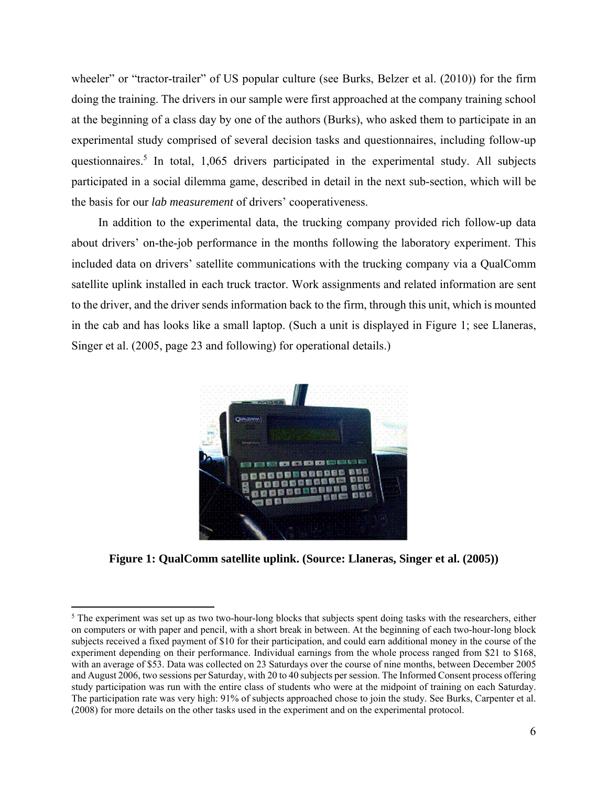wheeler" or "tractor-trailer" of US popular culture (see Burks, Belzer et al. (2010)) for the firm doing the training. The drivers in our sample were first approached at the company training school at the beginning of a class day by one of the authors (Burks), who asked them to participate in an experimental study comprised of several decision tasks and questionnaires, including follow-up questionnaires.<sup>5</sup> In total, 1,065 drivers participated in the experimental study. All subjects participated in a social dilemma game, described in detail in the next sub-section, which will be the basis for our *lab measurement* of drivers' cooperativeness.

In addition to the experimental data, the trucking company provided rich follow-up data about drivers' on-the-job performance in the months following the laboratory experiment. This included data on drivers' satellite communications with the trucking company via a QualComm satellite uplink installed in each truck tractor. Work assignments and related information are sent to the driver, and the driver sends information back to the firm, through this unit, which is mounted in the cab and has looks like a small laptop. (Such a unit is displayed in Figure 1; see Llaneras, Singer et al. (2005, page 23 and following) for operational details.)



**Figure 1: QualComm satellite uplink. (Source: Llaneras, Singer et al. (2005))**

 $\overline{\phantom{a}}$ 

<sup>&</sup>lt;sup>5</sup> The experiment was set up as two two-hour-long blocks that subjects spent doing tasks with the researchers, either on computers or with paper and pencil, with a short break in between. At the beginning of each two-hour-long block subjects received a fixed payment of \$10 for their participation, and could earn additional money in the course of the experiment depending on their performance. Individual earnings from the whole process ranged from \$21 to \$168, with an average of \$53. Data was collected on 23 Saturdays over the course of nine months, between December 2005 and August 2006, two sessions per Saturday, with 20 to 40 subjects per session. The Informed Consent process offering study participation was run with the entire class of students who were at the midpoint of training on each Saturday. The participation rate was very high: 91% of subjects approached chose to join the study. See Burks, Carpenter et al. (2008) for more details on the other tasks used in the experiment and on the experimental protocol.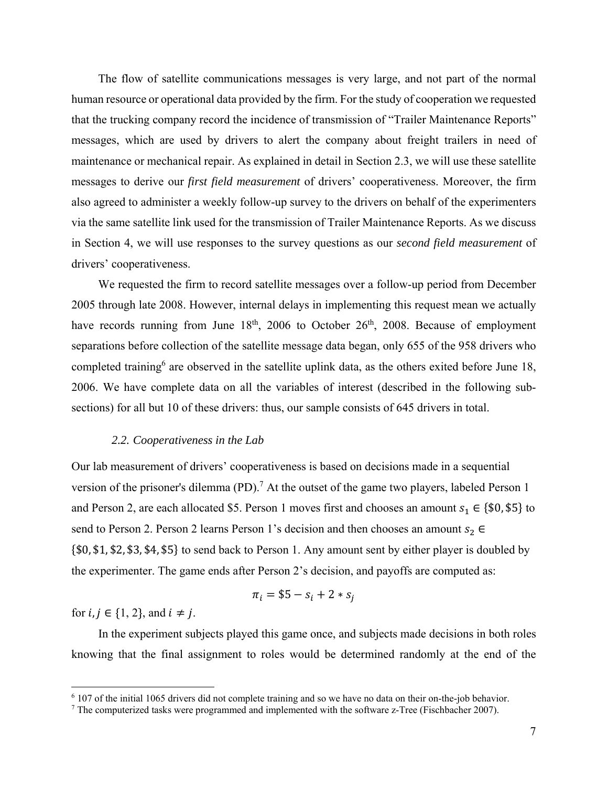The flow of satellite communications messages is very large, and not part of the normal human resource or operational data provided by the firm. For the study of cooperation we requested that the trucking company record the incidence of transmission of "Trailer Maintenance Reports" messages, which are used by drivers to alert the company about freight trailers in need of maintenance or mechanical repair. As explained in detail in Section 2.3, we will use these satellite messages to derive our *first field measurement* of drivers' cooperativeness. Moreover, the firm also agreed to administer a weekly follow-up survey to the drivers on behalf of the experimenters via the same satellite link used for the transmission of Trailer Maintenance Reports. As we discuss in Section 4, we will use responses to the survey questions as our *second field measurement* of drivers' cooperativeness.

We requested the firm to record satellite messages over a follow-up period from December 2005 through late 2008. However, internal delays in implementing this request mean we actually have records running from June  $18<sup>th</sup>$ , 2006 to October  $26<sup>th</sup>$ , 2008. Because of employment separations before collection of the satellite message data began, only 655 of the 958 drivers who completed training<sup>6</sup> are observed in the satellite uplink data, as the others exited before June 18, 2006. We have complete data on all the variables of interest (described in the following subsections) for all but 10 of these drivers: thus, our sample consists of 645 drivers in total.

#### *2.2. Cooperativeness in the Lab*

Our lab measurement of drivers' cooperativeness is based on decisions made in a sequential version of the prisoner's dilemma (PD).<sup>7</sup> At the outset of the game two players, labeled Person 1 and Person 2, are each allocated \$5. Person 1 moves first and chooses an amount  $s_1 \in \{\$0, \$5\}$  to send to Person 2. Person 2 learns Person 1's decision and then chooses an amount  $s_2 \in$  $\{\$0, \$1, \$2, \$3, \$4, \$5\}$  to send back to Person 1. Any amount sent by either player is doubled by the experimenter. The game ends after Person 2's decision, and payoffs are computed as:

$$
\pi_i = $5 - s_i + 2*s_j
$$

for  $i, j \in \{1, 2\}$ , and  $i \neq j$ .

 $\overline{a}$ 

In the experiment subjects played this game once, and subjects made decisions in both roles knowing that the final assignment to roles would be determined randomly at the end of the

<sup>6</sup> 107 of the initial 1065 drivers did not complete training and so we have no data on their on-the-job behavior.

 $<sup>7</sup>$  The computerized tasks were programmed and implemented with the software z-Tree (Fischbacher 2007).</sup>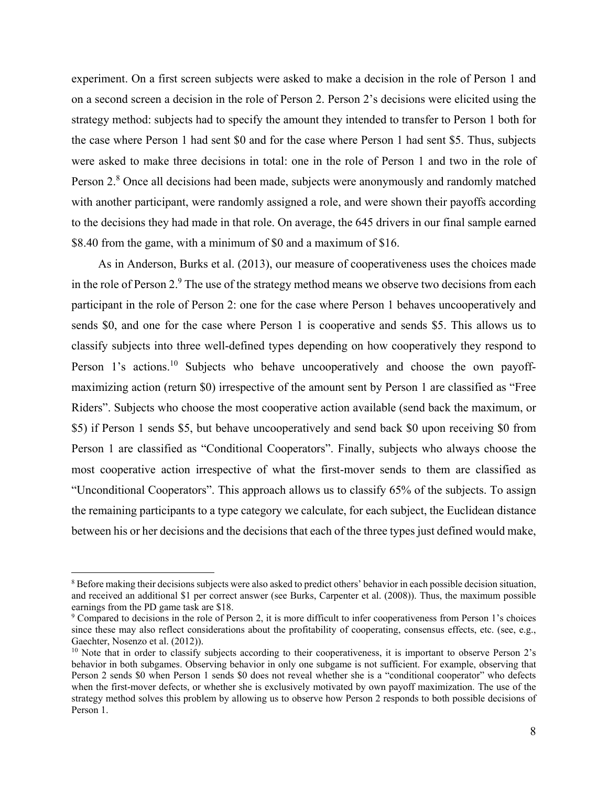experiment. On a first screen subjects were asked to make a decision in the role of Person 1 and on a second screen a decision in the role of Person 2. Person 2's decisions were elicited using the strategy method: subjects had to specify the amount they intended to transfer to Person 1 both for the case where Person 1 had sent \$0 and for the case where Person 1 had sent \$5. Thus, subjects were asked to make three decisions in total: one in the role of Person 1 and two in the role of Person 2.<sup>8</sup> Once all decisions had been made, subjects were anonymously and randomly matched with another participant, were randomly assigned a role, and were shown their payoffs according to the decisions they had made in that role. On average, the 645 drivers in our final sample earned \$8.40 from the game, with a minimum of \$0 and a maximum of \$16.

As in Anderson, Burks et al. (2013), our measure of cooperativeness uses the choices made in the role of Person 2. $9$  The use of the strategy method means we observe two decisions from each participant in the role of Person 2: one for the case where Person 1 behaves uncooperatively and sends \$0, and one for the case where Person 1 is cooperative and sends \$5. This allows us to classify subjects into three well-defined types depending on how cooperatively they respond to Person 1's actions.<sup>10</sup> Subjects who behave uncooperatively and choose the own payoffmaximizing action (return \$0) irrespective of the amount sent by Person 1 are classified as "Free Riders". Subjects who choose the most cooperative action available (send back the maximum, or \$5) if Person 1 sends \$5, but behave uncooperatively and send back \$0 upon receiving \$0 from Person 1 are classified as "Conditional Cooperators". Finally, subjects who always choose the most cooperative action irrespective of what the first-mover sends to them are classified as "Unconditional Cooperators". This approach allows us to classify 65% of the subjects. To assign the remaining participants to a type category we calculate, for each subject, the Euclidean distance between his or her decisions and the decisions that each of the three types just defined would make,

<sup>&</sup>lt;sup>8</sup> Before making their decisions subjects were also asked to predict others' behavior in each possible decision situation, and received an additional \$1 per correct answer (see Burks, Carpenter et al. (2008)). Thus, the maximum possible earnings from the PD game task are \$18.

<sup>&</sup>lt;sup>9</sup> Compared to decisions in the role of Person 2, it is more difficult to infer cooperativeness from Person 1's choices since these may also reflect considerations about the profitability of cooperating, consensus effects, etc. (see, e.g., Gaechter, Nosenzo et al. (2012)).<br><sup>10</sup> Note that in order to classify subjects according to their cooperativeness, it is important to observe Person 2's

behavior in both subgames. Observing behavior in only one subgame is not sufficient. For example, observing that Person 2 sends \$0 when Person 1 sends \$0 does not reveal whether she is a "conditional cooperator" who defects when the first-mover defects, or whether she is exclusively motivated by own payoff maximization. The use of the strategy method solves this problem by allowing us to observe how Person 2 responds to both possible decisions of Person 1.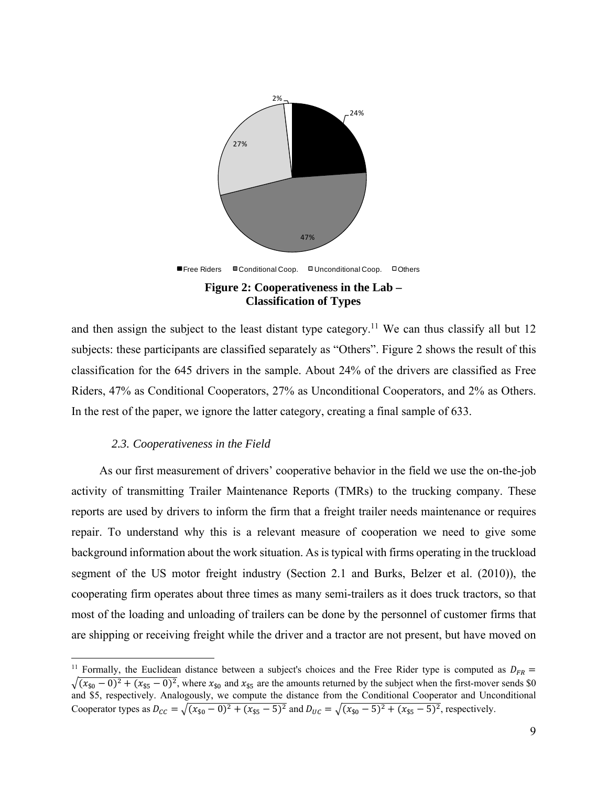

and then assign the subject to the least distant type category.<sup>11</sup> We can thus classify all but 12 subjects: these participants are classified separately as "Others". Figure 2 shows the result of this classification for the 645 drivers in the sample. About 24% of the drivers are classified as Free Riders, 47% as Conditional Cooperators, 27% as Unconditional Cooperators, and 2% as Others. In the rest of the paper, we ignore the latter category, creating a final sample of 633.

#### *2.3. Cooperativeness in the Field*

 $\overline{a}$ 

As our first measurement of drivers' cooperative behavior in the field we use the on-the-job activity of transmitting Trailer Maintenance Reports (TMRs) to the trucking company. These reports are used by drivers to inform the firm that a freight trailer needs maintenance or requires repair. To understand why this is a relevant measure of cooperation we need to give some background information about the work situation. As is typical with firms operating in the truckload segment of the US motor freight industry (Section 2.1 and Burks, Belzer et al. (2010)), the cooperating firm operates about three times as many semi-trailers as it does truck tractors, so that most of the loading and unloading of trailers can be done by the personnel of customer firms that are shipping or receiving freight while the driver and a tractor are not present, but have moved on

<sup>&</sup>lt;sup>11</sup> Formally, the Euclidean distance between a subject's choices and the Free Rider type is computed as  $D_{FR}$  =  $\sqrt{(x_{50} - 0)^2 + (x_{55} - 0)^2}$ , where  $x_{50}$  and  $x_{55}$  are the amounts returned by the subject when the first-mover sends \$0 and \$5, respectively. Analogously, we compute the distance from the Conditional Cooperator and Unconditional Cooperator types as  $D_{CC} = \sqrt{(x_{50} - 0)^2 + (x_{55} - 5)^2}$  and  $D_{UC} = \sqrt{(x_{50} - 5)^2 + (x_{55} - 5)^2}$ , respectively.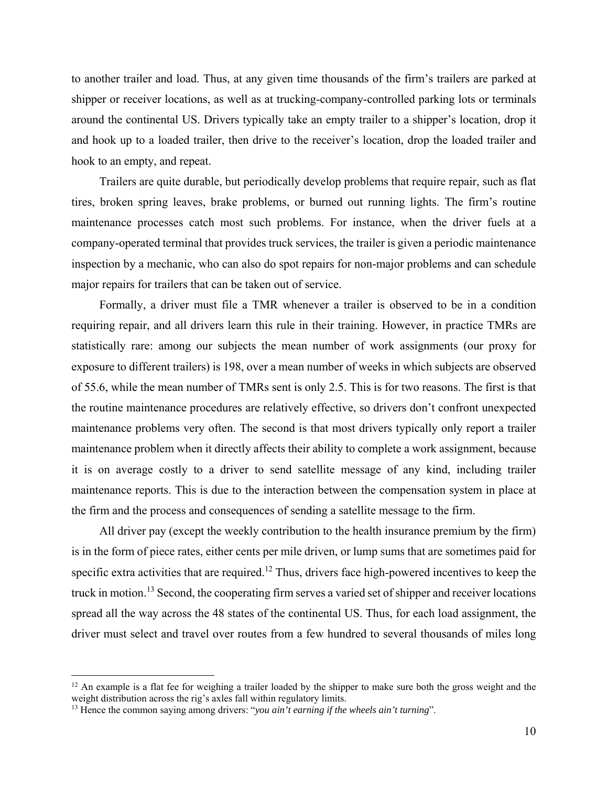to another trailer and load. Thus, at any given time thousands of the firm's trailers are parked at shipper or receiver locations, as well as at trucking-company-controlled parking lots or terminals around the continental US. Drivers typically take an empty trailer to a shipper's location, drop it and hook up to a loaded trailer, then drive to the receiver's location, drop the loaded trailer and hook to an empty, and repeat.

Trailers are quite durable, but periodically develop problems that require repair, such as flat tires, broken spring leaves, brake problems, or burned out running lights. The firm's routine maintenance processes catch most such problems. For instance, when the driver fuels at a company-operated terminal that provides truck services, the trailer is given a periodic maintenance inspection by a mechanic, who can also do spot repairs for non-major problems and can schedule major repairs for trailers that can be taken out of service.

Formally, a driver must file a TMR whenever a trailer is observed to be in a condition requiring repair, and all drivers learn this rule in their training. However, in practice TMRs are statistically rare: among our subjects the mean number of work assignments (our proxy for exposure to different trailers) is 198, over a mean number of weeks in which subjects are observed of 55.6, while the mean number of TMRs sent is only 2.5. This is for two reasons. The first is that the routine maintenance procedures are relatively effective, so drivers don't confront unexpected maintenance problems very often. The second is that most drivers typically only report a trailer maintenance problem when it directly affects their ability to complete a work assignment, because it is on average costly to a driver to send satellite message of any kind, including trailer maintenance reports. This is due to the interaction between the compensation system in place at the firm and the process and consequences of sending a satellite message to the firm.

All driver pay (except the weekly contribution to the health insurance premium by the firm) is in the form of piece rates, either cents per mile driven, or lump sums that are sometimes paid for specific extra activities that are required.<sup>12</sup> Thus, drivers face high-powered incentives to keep the truck in motion.13 Second, the cooperating firm serves a varied set of shipper and receiver locations spread all the way across the 48 states of the continental US. Thus, for each load assignment, the driver must select and travel over routes from a few hundred to several thousands of miles long

 $12$  An example is a flat fee for weighing a trailer loaded by the shipper to make sure both the gross weight and the weight distribution across the rig's axles fall within regulatory limits.

<sup>13</sup> Hence the common saying among drivers: "*you ain't earning if the wheels ain't turning*".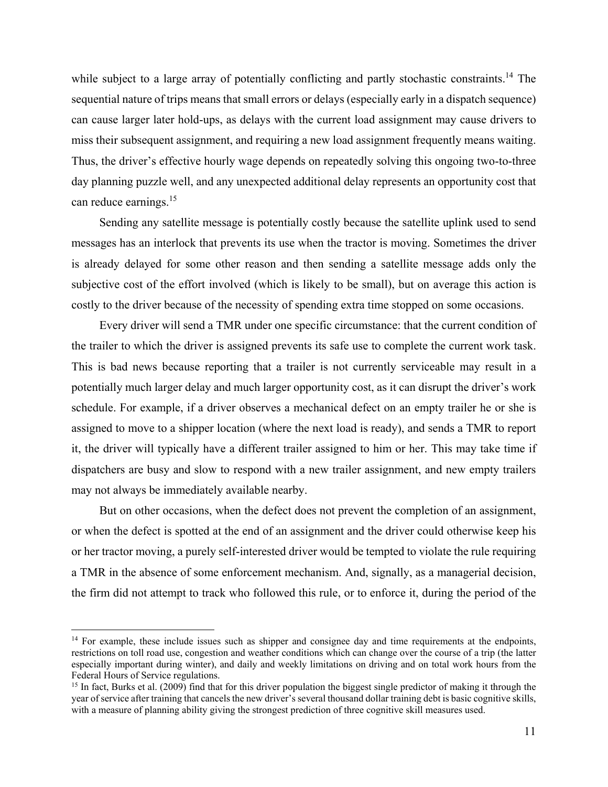while subject to a large array of potentially conflicting and partly stochastic constraints.<sup>14</sup> The sequential nature of trips means that small errors or delays (especially early in a dispatch sequence) can cause larger later hold-ups, as delays with the current load assignment may cause drivers to miss their subsequent assignment, and requiring a new load assignment frequently means waiting. Thus, the driver's effective hourly wage depends on repeatedly solving this ongoing two-to-three day planning puzzle well, and any unexpected additional delay represents an opportunity cost that can reduce earnings.<sup>15</sup>

Sending any satellite message is potentially costly because the satellite uplink used to send messages has an interlock that prevents its use when the tractor is moving. Sometimes the driver is already delayed for some other reason and then sending a satellite message adds only the subjective cost of the effort involved (which is likely to be small), but on average this action is costly to the driver because of the necessity of spending extra time stopped on some occasions.

Every driver will send a TMR under one specific circumstance: that the current condition of the trailer to which the driver is assigned prevents its safe use to complete the current work task. This is bad news because reporting that a trailer is not currently serviceable may result in a potentially much larger delay and much larger opportunity cost, as it can disrupt the driver's work schedule. For example, if a driver observes a mechanical defect on an empty trailer he or she is assigned to move to a shipper location (where the next load is ready), and sends a TMR to report it, the driver will typically have a different trailer assigned to him or her. This may take time if dispatchers are busy and slow to respond with a new trailer assignment, and new empty trailers may not always be immediately available nearby.

But on other occasions, when the defect does not prevent the completion of an assignment, or when the defect is spotted at the end of an assignment and the driver could otherwise keep his or her tractor moving, a purely self-interested driver would be tempted to violate the rule requiring a TMR in the absence of some enforcement mechanism. And, signally, as a managerial decision, the firm did not attempt to track who followed this rule, or to enforce it, during the period of the

<sup>&</sup>lt;sup>14</sup> For example, these include issues such as shipper and consignee day and time requirements at the endpoints, restrictions on toll road use, congestion and weather conditions which can change over the course of a trip (the latter especially important during winter), and daily and weekly limitations on driving and on total work hours from the Federal Hours of Service regulations.

<sup>&</sup>lt;sup>15</sup> In fact, Burks et al. (2009) find that for this driver population the biggest single predictor of making it through the year of service after training that cancels the new driver's several thousand dollar training debt is basic cognitive skills, with a measure of planning ability giving the strongest prediction of three cognitive skill measures used.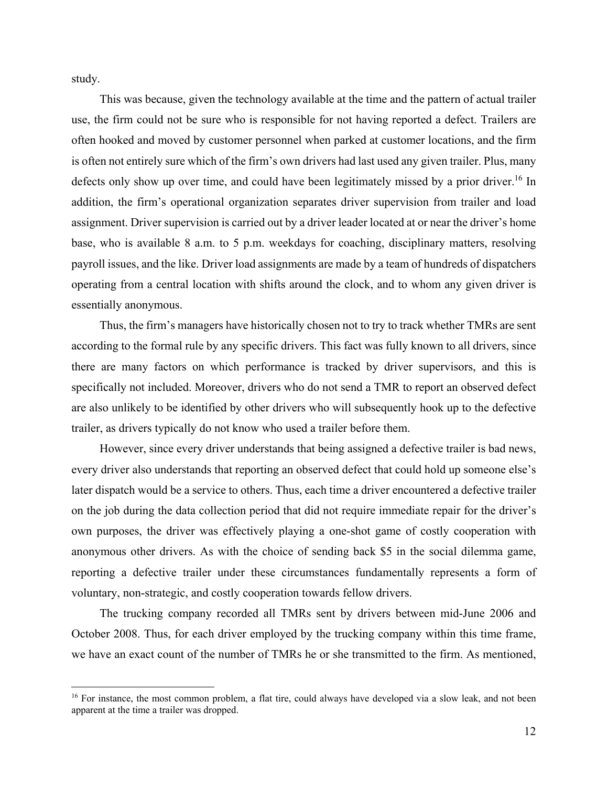study.

1

This was because, given the technology available at the time and the pattern of actual trailer use, the firm could not be sure who is responsible for not having reported a defect. Trailers are often hooked and moved by customer personnel when parked at customer locations, and the firm is often not entirely sure which of the firm's own drivers had last used any given trailer. Plus, many defects only show up over time, and could have been legitimately missed by a prior driver.<sup>16</sup> In addition, the firm's operational organization separates driver supervision from trailer and load assignment. Driver supervision is carried out by a driver leader located at or near the driver's home base, who is available 8 a.m. to 5 p.m. weekdays for coaching, disciplinary matters, resolving payroll issues, and the like. Driver load assignments are made by a team of hundreds of dispatchers operating from a central location with shifts around the clock, and to whom any given driver is essentially anonymous.

Thus, the firm's managers have historically chosen not to try to track whether TMRs are sent according to the formal rule by any specific drivers. This fact was fully known to all drivers, since there are many factors on which performance is tracked by driver supervisors, and this is specifically not included. Moreover, drivers who do not send a TMR to report an observed defect are also unlikely to be identified by other drivers who will subsequently hook up to the defective trailer, as drivers typically do not know who used a trailer before them.

However, since every driver understands that being assigned a defective trailer is bad news, every driver also understands that reporting an observed defect that could hold up someone else's later dispatch would be a service to others. Thus, each time a driver encountered a defective trailer on the job during the data collection period that did not require immediate repair for the driver's own purposes, the driver was effectively playing a one-shot game of costly cooperation with anonymous other drivers. As with the choice of sending back \$5 in the social dilemma game, reporting a defective trailer under these circumstances fundamentally represents a form of voluntary, non-strategic, and costly cooperation towards fellow drivers.

The trucking company recorded all TMRs sent by drivers between mid-June 2006 and October 2008. Thus, for each driver employed by the trucking company within this time frame, we have an exact count of the number of TMRs he or she transmitted to the firm. As mentioned,

<sup>&</sup>lt;sup>16</sup> For instance, the most common problem, a flat tire, could always have developed via a slow leak, and not been apparent at the time a trailer was dropped.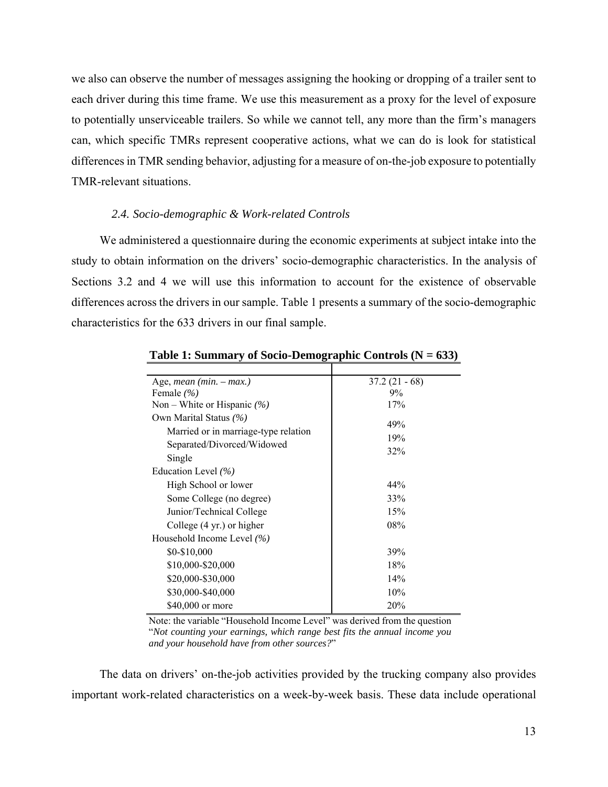we also can observe the number of messages assigning the hooking or dropping of a trailer sent to each driver during this time frame. We use this measurement as a proxy for the level of exposure to potentially unserviceable trailers. So while we cannot tell, any more than the firm's managers can, which specific TMRs represent cooperative actions, what we can do is look for statistical differences in TMR sending behavior, adjusting for a measure of on-the-job exposure to potentially TMR-relevant situations.

#### *2.4. Socio-demographic & Work-related Controls*

We administered a questionnaire during the economic experiments at subject intake into the study to obtain information on the drivers' socio-demographic characteristics. In the analysis of Sections 3.2 and 4 we will use this information to account for the existence of observable differences across the drivers in our sample. Table 1 presents a summary of the socio-demographic characteristics for the 633 drivers in our final sample.

| Age, <i>mean</i> $(min. - max.)$     | $37.2(21 - 68)$ |
|--------------------------------------|-----------------|
| Female $(\% )$                       | $9\%$           |
| Non – White or Hispanic $(\% )$      | 17%             |
| Own Marital Status (%)               | 49%             |
| Married or in marriage-type relation |                 |
| Separated/Divorced/Widowed           | 19%             |
| Single                               | 32%             |
| Education Level $(\% )$              |                 |
| High School or lower                 | 44%             |
| Some College (no degree)             | 33%             |
| Junior/Technical College             | 15%             |
| College $(4 \text{ yr.})$ or higher  | 08%             |
| Household Income Level $(\% )$       |                 |
| \$0-\$10,000                         | 39%             |
| \$10,000-\$20,000                    | 18%             |
| \$20,000-\$30,000                    | 14%             |
| \$30,000-\$40,000                    | 10%             |
| \$40,000 or more                     | 20%             |

**Table 1: Summary of Socio-Demographic Controls (N = 633)** 

Note: the variable "Household Income Level" was derived from the question "*Not counting your earnings, which range best fits the annual income you and your household have from other sources?*"

The data on drivers' on-the-job activities provided by the trucking company also provides important work-related characteristics on a week-by-week basis. These data include operational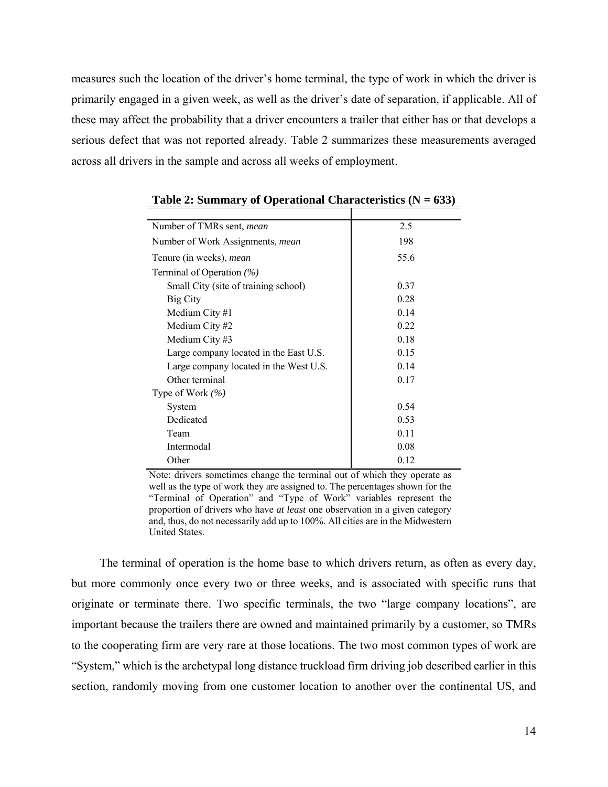measures such the location of the driver's home terminal, the type of work in which the driver is primarily engaged in a given week, as well as the driver's date of separation, if applicable. All of these may affect the probability that a driver encounters a trailer that either has or that develops a serious defect that was not reported already. Table 2 summarizes these measurements averaged across all drivers in the sample and across all weeks of employment.

| Number of TMRs sent, <i>mean</i>        | 2.5  |
|-----------------------------------------|------|
| Number of Work Assignments, <i>mean</i> | 198  |
| Tenure (in weeks), mean                 | 55.6 |
| Terminal of Operation $(\% )$           |      |
| Small City (site of training school)    | 0.37 |
| Big City                                | 0.28 |
| Medium City #1                          | 0.14 |
| Medium City #2                          | 0.22 |
| Medium City #3                          | 0.18 |
| Large company located in the East U.S.  | 0.15 |
| Large company located in the West U.S.  | 0.14 |
| Other terminal                          | 0.17 |
| Type of Work $(\% )$                    |      |
| System                                  | 0.54 |
| Dedicated                               | 0.53 |
| Team                                    | 0.11 |
| Intermodal                              | 0.08 |
| Other                                   | 0.12 |

**Table 2: Summary of Operational Characteristics (N = 633)** 

Note: drivers sometimes change the terminal out of which they operate as well as the type of work they are assigned to. The percentages shown for the "Terminal of Operation" and "Type of Work" variables represent the proportion of drivers who have *at least* one observation in a given category and, thus, do not necessarily add up to 100%. All cities are in the Midwestern United States.

The terminal of operation is the home base to which drivers return, as often as every day, but more commonly once every two or three weeks, and is associated with specific runs that originate or terminate there. Two specific terminals, the two "large company locations", are important because the trailers there are owned and maintained primarily by a customer, so TMRs to the cooperating firm are very rare at those locations. The two most common types of work are "System," which is the archetypal long distance truckload firm driving job described earlier in this section, randomly moving from one customer location to another over the continental US, and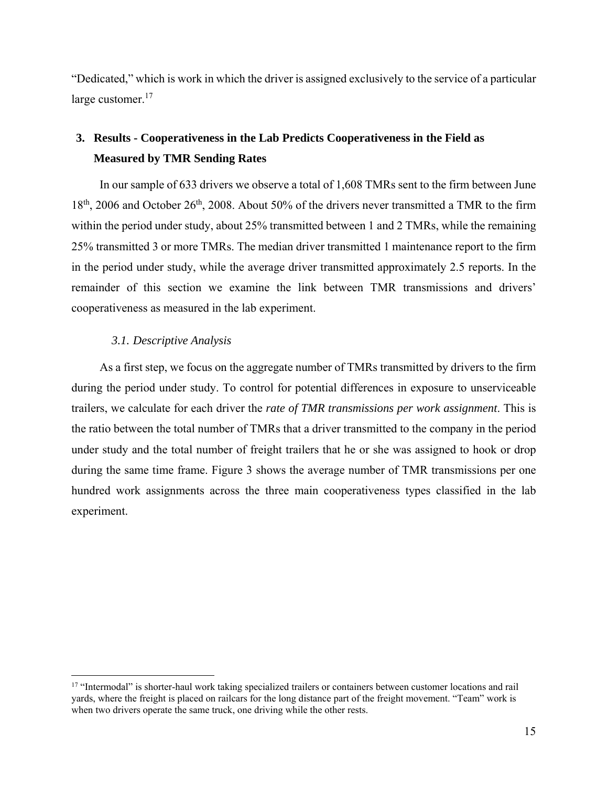"Dedicated," which is work in which the driver is assigned exclusively to the service of a particular large customer.<sup>17</sup>

### **3. Results - Cooperativeness in the Lab Predicts Cooperativeness in the Field as Measured by TMR Sending Rates**

In our sample of 633 drivers we observe a total of 1,608 TMRs sent to the firm between June  $18<sup>th</sup>$ , 2006 and October 26<sup>th</sup>, 2008. About 50% of the drivers never transmitted a TMR to the firm within the period under study, about 25% transmitted between 1 and 2 TMRs, while the remaining 25% transmitted 3 or more TMRs. The median driver transmitted 1 maintenance report to the firm in the period under study, while the average driver transmitted approximately 2.5 reports. In the remainder of this section we examine the link between TMR transmissions and drivers' cooperativeness as measured in the lab experiment.

#### *3.1. Descriptive Analysis*

 $\overline{a}$ 

As a first step, we focus on the aggregate number of TMRs transmitted by drivers to the firm during the period under study. To control for potential differences in exposure to unserviceable trailers, we calculate for each driver the *rate of TMR transmissions per work assignment*. This is the ratio between the total number of TMRs that a driver transmitted to the company in the period under study and the total number of freight trailers that he or she was assigned to hook or drop during the same time frame. Figure 3 shows the average number of TMR transmissions per one hundred work assignments across the three main cooperativeness types classified in the lab experiment.

<sup>&</sup>lt;sup>17</sup> "Intermodal" is shorter-haul work taking specialized trailers or containers between customer locations and rail yards, where the freight is placed on railcars for the long distance part of the freight movement. "Team" work is when two drivers operate the same truck, one driving while the other rests.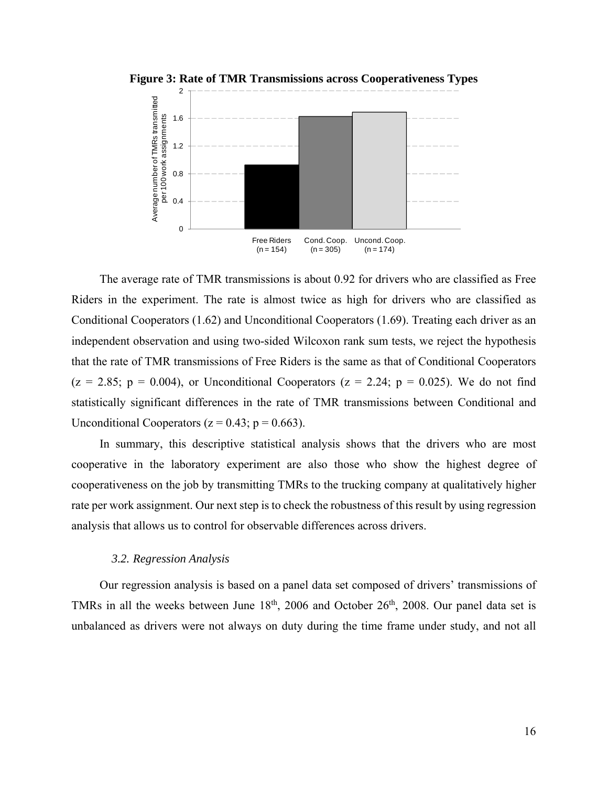

**Figure 3: Rate of TMR Transmissions across Cooperativeness Types** 

The average rate of TMR transmissions is about 0.92 for drivers who are classified as Free Riders in the experiment. The rate is almost twice as high for drivers who are classified as Conditional Cooperators (1.62) and Unconditional Cooperators (1.69). Treating each driver as an independent observation and using two-sided Wilcoxon rank sum tests, we reject the hypothesis that the rate of TMR transmissions of Free Riders is the same as that of Conditional Cooperators  $(z = 2.85; p = 0.004)$ , or Unconditional Cooperators  $(z = 2.24; p = 0.025)$ . We do not find statistically significant differences in the rate of TMR transmissions between Conditional and Unconditional Cooperators ( $z = 0.43$ ;  $p = 0.663$ ).

In summary, this descriptive statistical analysis shows that the drivers who are most cooperative in the laboratory experiment are also those who show the highest degree of cooperativeness on the job by transmitting TMRs to the trucking company at qualitatively higher rate per work assignment. Our next step is to check the robustness of this result by using regression analysis that allows us to control for observable differences across drivers.

#### *3.2. Regression Analysis*

Our regression analysis is based on a panel data set composed of drivers' transmissions of TMRs in all the weeks between June  $18<sup>th</sup>$ , 2006 and October 26<sup>th</sup>, 2008. Our panel data set is unbalanced as drivers were not always on duty during the time frame under study, and not all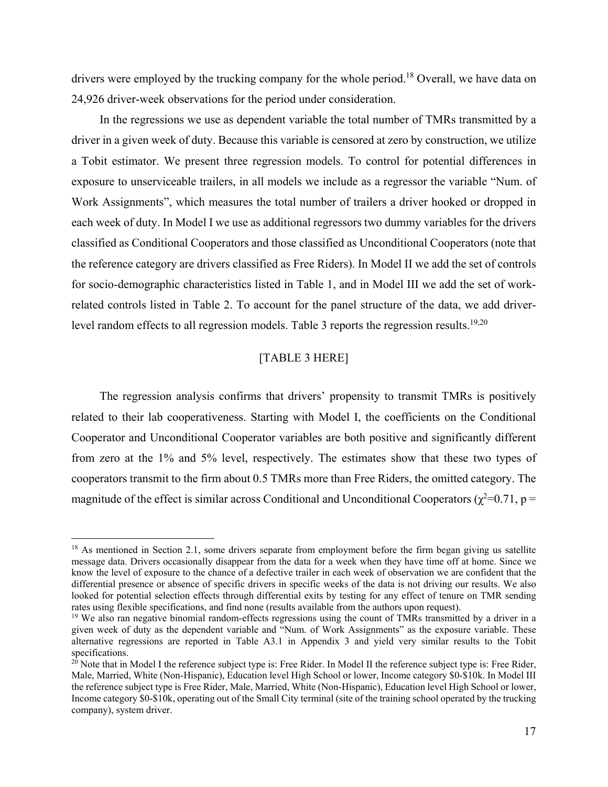drivers were employed by the trucking company for the whole period.<sup>18</sup> Overall, we have data on 24,926 driver-week observations for the period under consideration.

In the regressions we use as dependent variable the total number of TMRs transmitted by a driver in a given week of duty. Because this variable is censored at zero by construction, we utilize a Tobit estimator. We present three regression models. To control for potential differences in exposure to unserviceable trailers, in all models we include as a regressor the variable "Num. of Work Assignments", which measures the total number of trailers a driver hooked or dropped in each week of duty. In Model I we use as additional regressors two dummy variables for the drivers classified as Conditional Cooperators and those classified as Unconditional Cooperators (note that the reference category are drivers classified as Free Riders). In Model II we add the set of controls for socio-demographic characteristics listed in Table 1, and in Model III we add the set of workrelated controls listed in Table 2. To account for the panel structure of the data, we add driverlevel random effects to all regression models. Table 3 reports the regression results.<sup>19,20</sup>

#### [TABLE 3 HERE]

The regression analysis confirms that drivers' propensity to transmit TMRs is positively related to their lab cooperativeness. Starting with Model I, the coefficients on the Conditional Cooperator and Unconditional Cooperator variables are both positive and significantly different from zero at the 1% and 5% level, respectively. The estimates show that these two types of cooperators transmit to the firm about 0.5 TMRs more than Free Riders, the omitted category. The magnitude of the effect is similar across Conditional and Unconditional Cooperators ( $\chi^2$ =0.71, p =

<sup>&</sup>lt;sup>18</sup> As mentioned in Section 2.1, some drivers separate from employment before the firm began giving us satellite message data. Drivers occasionally disappear from the data for a week when they have time off at home. Since we know the level of exposure to the chance of a defective trailer in each week of observation we are confident that the differential presence or absence of specific drivers in specific weeks of the data is not driving our results. We also looked for potential selection effects through differential exits by testing for any effect of tenure on TMR sending rates using flexible specifications, and find none (results available from the authors upon request).

<sup>&</sup>lt;sup>19</sup> We also ran negative binomial random-effects regressions using the count of TMRs transmitted by a driver in a given week of duty as the dependent variable and "Num. of Work Assignments" as the exposure variable. These alternative regressions are reported in Table A3.1 in Appendix 3 and yield very similar results to the Tobit specifications.

<sup>&</sup>lt;sup>20</sup> Note that in Model I the reference subject type is: Free Rider. In Model II the reference subject type is: Free Rider, Male, Married, White (Non-Hispanic), Education level High School or lower, Income category \$0-\$10k. In Model III the reference subject type is Free Rider, Male, Married, White (Non-Hispanic), Education level High School or lower, Income category \$0-\$10k, operating out of the Small City terminal (site of the training school operated by the trucking company), system driver.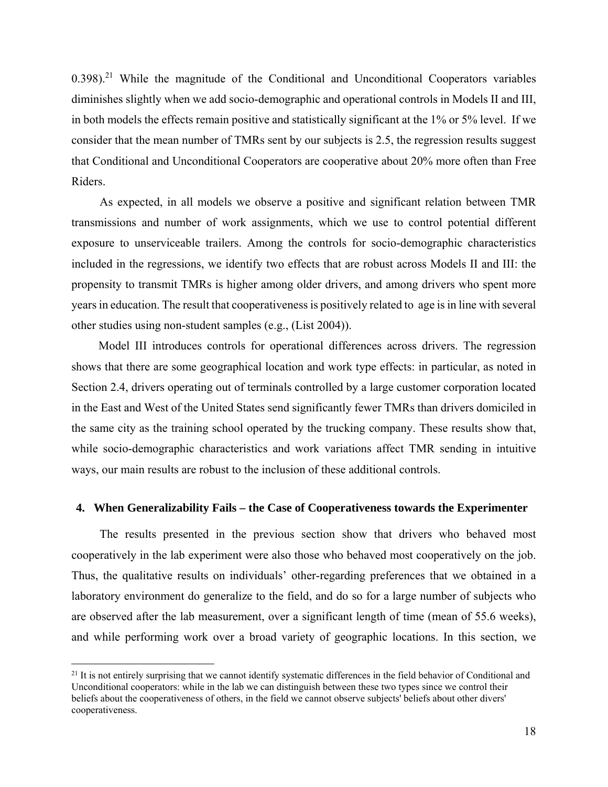$0.398$ <sup>21</sup> While the magnitude of the Conditional and Unconditional Cooperators variables diminishes slightly when we add socio-demographic and operational controls in Models II and III, in both models the effects remain positive and statistically significant at the 1% or 5% level. If we consider that the mean number of TMRs sent by our subjects is 2.5, the regression results suggest that Conditional and Unconditional Cooperators are cooperative about 20% more often than Free Riders.

As expected, in all models we observe a positive and significant relation between TMR transmissions and number of work assignments, which we use to control potential different exposure to unserviceable trailers. Among the controls for socio-demographic characteristics included in the regressions, we identify two effects that are robust across Models II and III: the propensity to transmit TMRs is higher among older drivers, and among drivers who spent more years in education. The result that cooperativeness is positively related to age is in line with several other studies using non-student samples (e.g., (List 2004)).

Model III introduces controls for operational differences across drivers. The regression shows that there are some geographical location and work type effects: in particular, as noted in Section 2.4, drivers operating out of terminals controlled by a large customer corporation located in the East and West of the United States send significantly fewer TMRs than drivers domiciled in the same city as the training school operated by the trucking company. These results show that, while socio-demographic characteristics and work variations affect TMR sending in intuitive ways, our main results are robust to the inclusion of these additional controls.

#### **4. When Generalizability Fails – the Case of Cooperativeness towards the Experimenter**

The results presented in the previous section show that drivers who behaved most cooperatively in the lab experiment were also those who behaved most cooperatively on the job. Thus, the qualitative results on individuals' other-regarding preferences that we obtained in a laboratory environment do generalize to the field, and do so for a large number of subjects who are observed after the lab measurement, over a significant length of time (mean of 55.6 weeks), and while performing work over a broad variety of geographic locations. In this section, we

<u>.</u>

 $21$  It is not entirely surprising that we cannot identify systematic differences in the field behavior of Conditional and Unconditional cooperators: while in the lab we can distinguish between these two types since we control their beliefs about the cooperativeness of others, in the field we cannot observe subjects' beliefs about other divers' cooperativeness.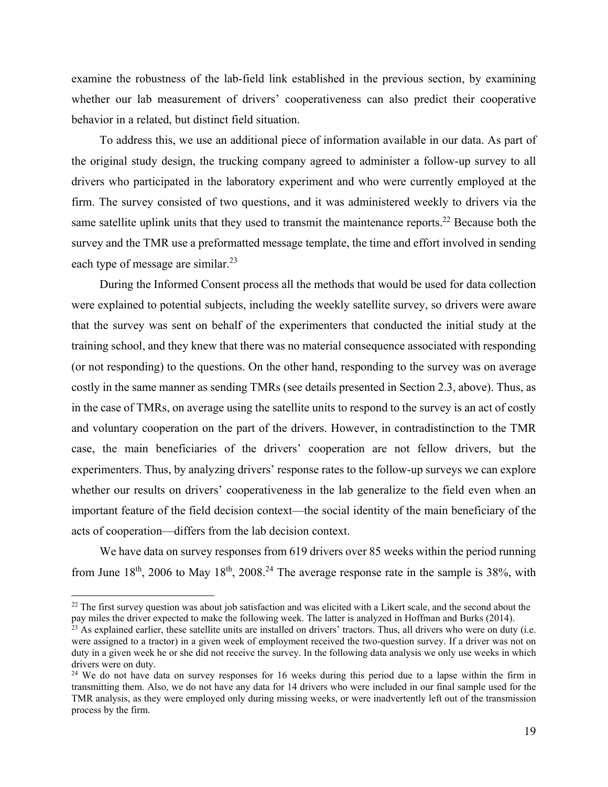examine the robustness of the lab-field link established in the previous section, by examining whether our lab measurement of drivers' cooperativeness can also predict their cooperative behavior in a related, but distinct field situation.

To address this, we use an additional piece of information available in our data. As part of the original study design, the trucking company agreed to administer a follow-up survey to all drivers who participated in the laboratory experiment and who were currently employed at the firm. The survey consisted of two questions, and it was administered weekly to drivers via the same satellite uplink units that they used to transmit the maintenance reports.<sup>22</sup> Because both the survey and the TMR use a preformatted message template, the time and effort involved in sending each type of message are similar.<sup>23</sup>

During the Informed Consent process all the methods that would be used for data collection were explained to potential subjects, including the weekly satellite survey, so drivers were aware that the survey was sent on behalf of the experimenters that conducted the initial study at the training school, and they knew that there was no material consequence associated with responding (or not responding) to the questions. On the other hand, responding to the survey was on average costly in the same manner as sending TMRs (see details presented in Section 2.3, above). Thus, as in the case of TMRs, on average using the satellite units to respond to the survey is an act of costly and voluntary cooperation on the part of the drivers. However, in contradistinction to the TMR case, the main beneficiaries of the drivers' cooperation are not fellow drivers, but the experimenters. Thus, by analyzing drivers' response rates to the follow-up surveys we can explore whether our results on drivers' cooperativeness in the lab generalize to the field even when an important feature of the field decision context—the social identity of the main beneficiary of the acts of cooperation—differs from the lab decision context.

We have data on survey responses from 619 drivers over 85 weeks within the period running from June  $18<sup>th</sup>$ , 2006 to May  $18<sup>th</sup>$ , 2008.<sup>24</sup> The average response rate in the sample is 38%, with

<sup>&</sup>lt;sup>22</sup> The first survey question was about job satisfaction and was elicited with a Likert scale, and the second about the pay miles the driver expected to make the following week. The latter is analyzed in Hoffman and Burks (2014).

 $2<sup>3</sup>$  As explained earlier, these satellite units are installed on drivers' tractors. Thus, all drivers who were on duty (i.e. were assigned to a tractor) in a given week of employment received the two-question survey. If a driver was not on duty in a given week he or she did not receive the survey. In the following data analysis we only use weeks in which drivers were on duty.

<sup>&</sup>lt;sup>24</sup> We do not have data on survey responses for 16 weeks during this period due to a lapse within the firm in transmitting them. Also, we do not have any data for 14 drivers who were included in our final sample used for the TMR analysis, as they were employed only during missing weeks, or were inadvertently left out of the transmission process by the firm.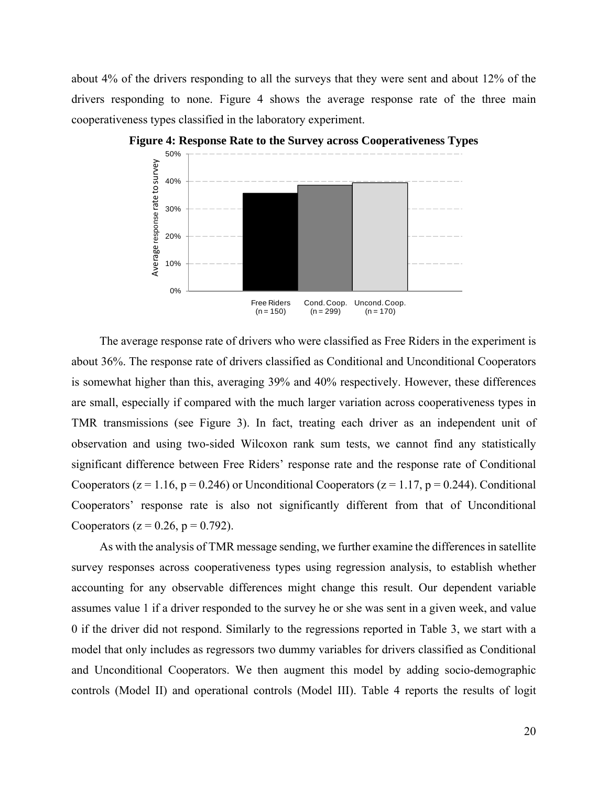about 4% of the drivers responding to all the surveys that they were sent and about 12% of the drivers responding to none. Figure 4 shows the average response rate of the three main cooperativeness types classified in the laboratory experiment.



**Figure 4: Response Rate to the Survey across Cooperativeness Types** 

The average response rate of drivers who were classified as Free Riders in the experiment is about 36%. The response rate of drivers classified as Conditional and Unconditional Cooperators is somewhat higher than this, averaging 39% and 40% respectively. However, these differences are small, especially if compared with the much larger variation across cooperativeness types in TMR transmissions (see Figure 3). In fact, treating each driver as an independent unit of observation and using two-sided Wilcoxon rank sum tests, we cannot find any statistically significant difference between Free Riders' response rate and the response rate of Conditional Cooperators ( $z = 1.16$ ,  $p = 0.246$ ) or Unconditional Cooperators ( $z = 1.17$ ,  $p = 0.244$ ). Conditional Cooperators' response rate is also not significantly different from that of Unconditional Cooperators ( $z = 0.26$ ,  $p = 0.792$ ).

As with the analysis of TMR message sending, we further examine the differences in satellite survey responses across cooperativeness types using regression analysis, to establish whether accounting for any observable differences might change this result. Our dependent variable assumes value 1 if a driver responded to the survey he or she was sent in a given week, and value 0 if the driver did not respond. Similarly to the regressions reported in Table 3, we start with a model that only includes as regressors two dummy variables for drivers classified as Conditional and Unconditional Cooperators. We then augment this model by adding socio-demographic controls (Model II) and operational controls (Model III). Table 4 reports the results of logit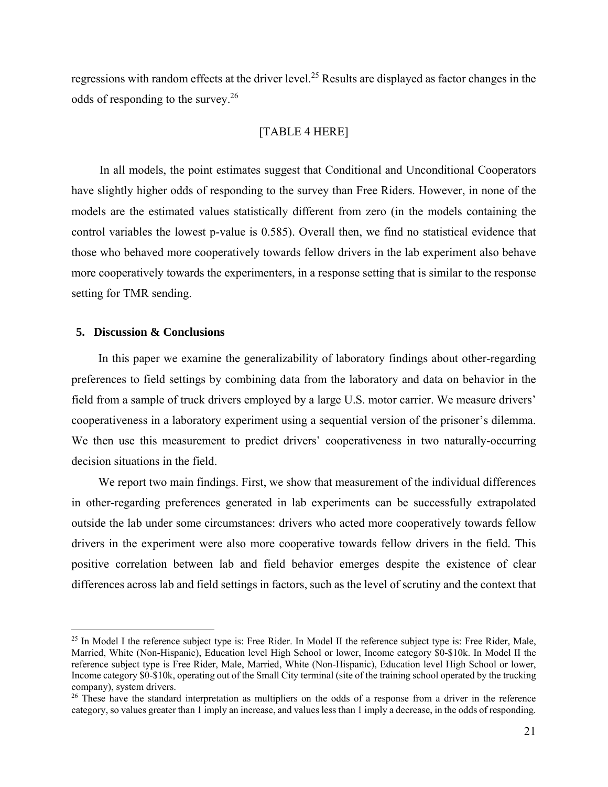regressions with random effects at the driver level.<sup>25</sup> Results are displayed as factor changes in the odds of responding to the survey.26

#### [TABLE 4 HERE]

In all models, the point estimates suggest that Conditional and Unconditional Cooperators have slightly higher odds of responding to the survey than Free Riders. However, in none of the models are the estimated values statistically different from zero (in the models containing the control variables the lowest p-value is 0.585). Overall then, we find no statistical evidence that those who behaved more cooperatively towards fellow drivers in the lab experiment also behave more cooperatively towards the experimenters, in a response setting that is similar to the response setting for TMR sending.

#### **5. Discussion & Conclusions**

 $\overline{a}$ 

In this paper we examine the generalizability of laboratory findings about other-regarding preferences to field settings by combining data from the laboratory and data on behavior in the field from a sample of truck drivers employed by a large U.S. motor carrier. We measure drivers' cooperativeness in a laboratory experiment using a sequential version of the prisoner's dilemma. We then use this measurement to predict drivers' cooperativeness in two naturally-occurring decision situations in the field.

We report two main findings. First, we show that measurement of the individual differences in other-regarding preferences generated in lab experiments can be successfully extrapolated outside the lab under some circumstances: drivers who acted more cooperatively towards fellow drivers in the experiment were also more cooperative towards fellow drivers in the field. This positive correlation between lab and field behavior emerges despite the existence of clear differences across lab and field settings in factors, such as the level of scrutiny and the context that

 $25$  In Model I the reference subject type is: Free Rider. In Model II the reference subject type is: Free Rider, Male, Married, White (Non-Hispanic), Education level High School or lower, Income category \$0-\$10k. In Model II the reference subject type is Free Rider, Male, Married, White (Non-Hispanic), Education level High School or lower, Income category \$0-\$10k, operating out of the Small City terminal (site of the training school operated by the trucking company), system drivers.

<sup>&</sup>lt;sup>26</sup> These have the standard interpretation as multipliers on the odds of a response from a driver in the reference category, so values greater than 1 imply an increase, and values less than 1 imply a decrease, in the odds of responding.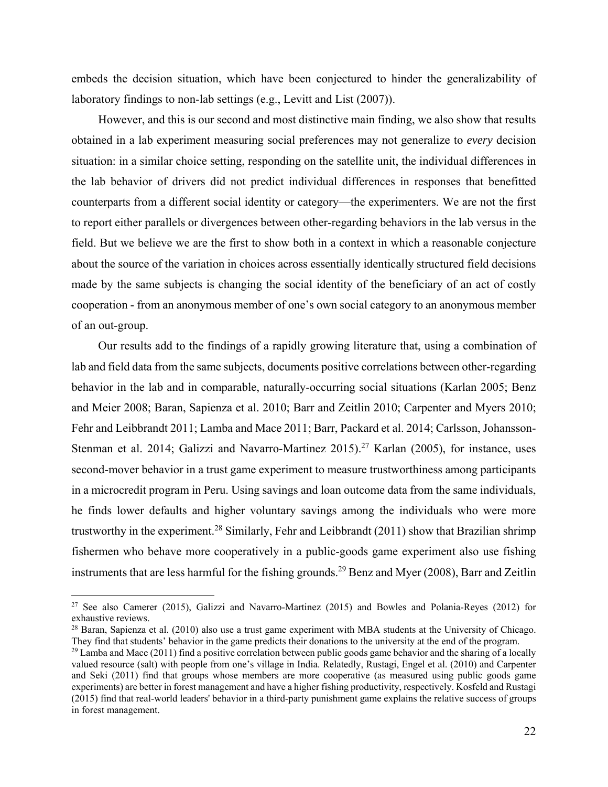embeds the decision situation, which have been conjectured to hinder the generalizability of laboratory findings to non-lab settings (e.g., Levitt and List (2007)).

However, and this is our second and most distinctive main finding, we also show that results obtained in a lab experiment measuring social preferences may not generalize to *every* decision situation: in a similar choice setting, responding on the satellite unit, the individual differences in the lab behavior of drivers did not predict individual differences in responses that benefitted counterparts from a different social identity or category—the experimenters. We are not the first to report either parallels or divergences between other-regarding behaviors in the lab versus in the field. But we believe we are the first to show both in a context in which a reasonable conjecture about the source of the variation in choices across essentially identically structured field decisions made by the same subjects is changing the social identity of the beneficiary of an act of costly cooperation - from an anonymous member of one's own social category to an anonymous member of an out-group.

Our results add to the findings of a rapidly growing literature that, using a combination of lab and field data from the same subjects, documents positive correlations between other-regarding behavior in the lab and in comparable, naturally-occurring social situations (Karlan 2005; Benz and Meier 2008; Baran, Sapienza et al. 2010; Barr and Zeitlin 2010; Carpenter and Myers 2010; Fehr and Leibbrandt 2011; Lamba and Mace 2011; Barr, Packard et al. 2014; Carlsson, Johansson-Stenman et al. 2014; Galizzi and Navarro-Martinez  $2015$ ).<sup>27</sup> Karlan (2005), for instance, uses second-mover behavior in a trust game experiment to measure trustworthiness among participants in a microcredit program in Peru. Using savings and loan outcome data from the same individuals, he finds lower defaults and higher voluntary savings among the individuals who were more trustworthy in the experiment.<sup>28</sup> Similarly, Fehr and Leibbrandt (2011) show that Brazilian shrimp fishermen who behave more cooperatively in a public-goods game experiment also use fishing instruments that are less harmful for the fishing grounds.<sup>29</sup> Benz and Myer (2008), Barr and Zeitlin

<sup>27</sup> See also Camerer (2015), Galizzi and Navarro-Martinez (2015) and Bowles and Polania-Reyes (2012) for exhaustive reviews.

 $^{28}$  Baran, Sapienza et al. (2010) also use a trust game experiment with MBA students at the University of Chicago. They find that students' behavior in the game predicts their donations to the university at the end of the program.

 $^{29}$  Lamba and Mace (2011) find a positive correlation between public goods game behavior and the sharing of a locally valued resource (salt) with people from one's village in India. Relatedly, Rustagi, Engel et al. (2010) and Carpenter and Seki (2011) find that groups whose members are more cooperative (as measured using public goods game experiments) are better in forest management and have a higher fishing productivity, respectively. Kosfeld and Rustagi (2015) find that real-world leaders' behavior in a third-party punishment game explains the relative success of groups in forest management.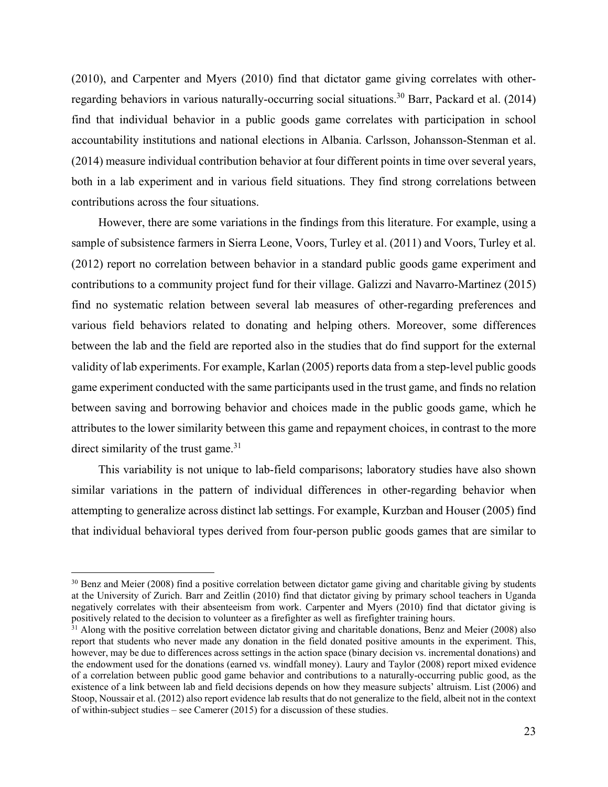(2010), and Carpenter and Myers (2010) find that dictator game giving correlates with otherregarding behaviors in various naturally-occurring social situations.<sup>30</sup> Barr, Packard et al. (2014) find that individual behavior in a public goods game correlates with participation in school accountability institutions and national elections in Albania. Carlsson, Johansson-Stenman et al. (2014) measure individual contribution behavior at four different points in time over several years, both in a lab experiment and in various field situations. They find strong correlations between contributions across the four situations.

However, there are some variations in the findings from this literature. For example, using a sample of subsistence farmers in Sierra Leone, Voors, Turley et al. (2011) and Voors, Turley et al. (2012) report no correlation between behavior in a standard public goods game experiment and contributions to a community project fund for their village. Galizzi and Navarro-Martinez (2015) find no systematic relation between several lab measures of other-regarding preferences and various field behaviors related to donating and helping others. Moreover, some differences between the lab and the field are reported also in the studies that do find support for the external validity of lab experiments. For example, Karlan (2005) reports data from a step-level public goods game experiment conducted with the same participants used in the trust game, and finds no relation between saving and borrowing behavior and choices made in the public goods game, which he attributes to the lower similarity between this game and repayment choices, in contrast to the more direct similarity of the trust game. $31$ 

This variability is not unique to lab-field comparisons; laboratory studies have also shown similar variations in the pattern of individual differences in other-regarding behavior when attempting to generalize across distinct lab settings. For example, Kurzban and Houser (2005) find that individual behavioral types derived from four-person public goods games that are similar to

<sup>&</sup>lt;sup>30</sup> Benz and Meier (2008) find a positive correlation between dictator game giving and charitable giving by students at the University of Zurich. Barr and Zeitlin (2010) find that dictator giving by primary school teachers in Uganda negatively correlates with their absenteeism from work. Carpenter and Myers (2010) find that dictator giving is positively related to the decision to volunteer as a firefighter as well as firefighter training hours.

 $31$  Along with the positive correlation between dictator giving and charitable donations. Benz and Meier (2008) also report that students who never made any donation in the field donated positive amounts in the experiment. This, however, may be due to differences across settings in the action space (binary decision vs. incremental donations) and the endowment used for the donations (earned vs. windfall money). Laury and Taylor (2008) report mixed evidence of a correlation between public good game behavior and contributions to a naturally-occurring public good, as the existence of a link between lab and field decisions depends on how they measure subjects' altruism. List (2006) and Stoop, Noussair et al. (2012) also report evidence lab results that do not generalize to the field, albeit not in the context of within-subject studies – see Camerer (2015) for a discussion of these studies.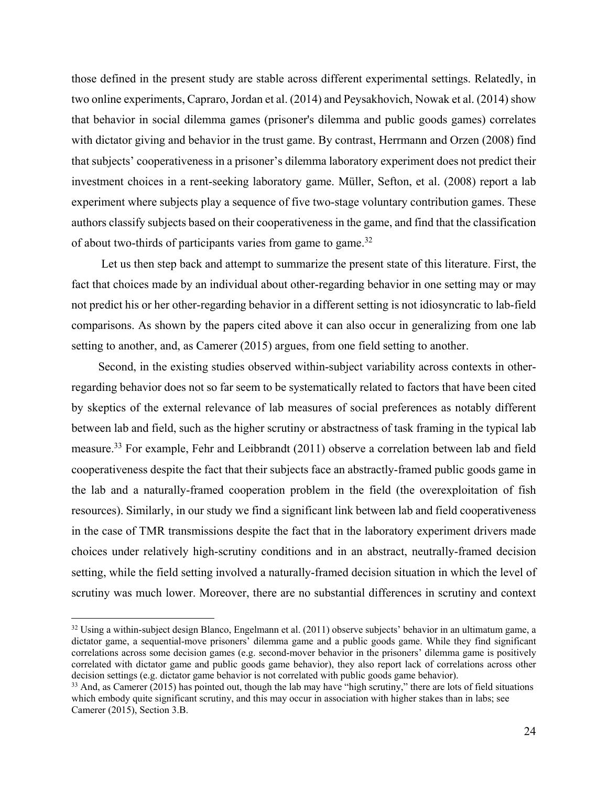those defined in the present study are stable across different experimental settings. Relatedly, in two online experiments, Capraro, Jordan et al. (2014) and Peysakhovich, Nowak et al. (2014) show that behavior in social dilemma games (prisoner's dilemma and public goods games) correlates with dictator giving and behavior in the trust game. By contrast, Herrmann and Orzen (2008) find that subjects' cooperativeness in a prisoner's dilemma laboratory experiment does not predict their investment choices in a rent-seeking laboratory game. Müller, Sefton, et al. (2008) report a lab experiment where subjects play a sequence of five two-stage voluntary contribution games. These authors classify subjects based on their cooperativeness in the game, and find that the classification of about two-thirds of participants varies from game to game.<sup>32</sup>

 Let us then step back and attempt to summarize the present state of this literature. First, the fact that choices made by an individual about other-regarding behavior in one setting may or may not predict his or her other-regarding behavior in a different setting is not idiosyncratic to lab-field comparisons. As shown by the papers cited above it can also occur in generalizing from one lab setting to another, and, as Camerer (2015) argues, from one field setting to another.

Second, in the existing studies observed within-subject variability across contexts in otherregarding behavior does not so far seem to be systematically related to factors that have been cited by skeptics of the external relevance of lab measures of social preferences as notably different between lab and field, such as the higher scrutiny or abstractness of task framing in the typical lab measure.33 For example, Fehr and Leibbrandt (2011) observe a correlation between lab and field cooperativeness despite the fact that their subjects face an abstractly-framed public goods game in the lab and a naturally-framed cooperation problem in the field (the overexploitation of fish resources). Similarly, in our study we find a significant link between lab and field cooperativeness in the case of TMR transmissions despite the fact that in the laboratory experiment drivers made choices under relatively high-scrutiny conditions and in an abstract, neutrally-framed decision setting, while the field setting involved a naturally-framed decision situation in which the level of scrutiny was much lower. Moreover, there are no substantial differences in scrutiny and context

<sup>&</sup>lt;sup>32</sup> Using a within-subject design Blanco, Engelmann et al. (2011) observe subjects' behavior in an ultimatum game, a dictator game, a sequential-move prisoners' dilemma game and a public goods game. While they find significant correlations across some decision games (e.g. second-mover behavior in the prisoners' dilemma game is positively correlated with dictator game and public goods game behavior), they also report lack of correlations across other decision settings (e.g. dictator game behavior is not correlated with public goods game behavior).<br><sup>33</sup> And, as Camerer (2015) has pointed out, though the lab may have "high scrutiny," there are lots of field situations

which embody quite significant scrutiny, and this may occur in association with higher stakes than in labs; see Camerer (2015), Section 3.B.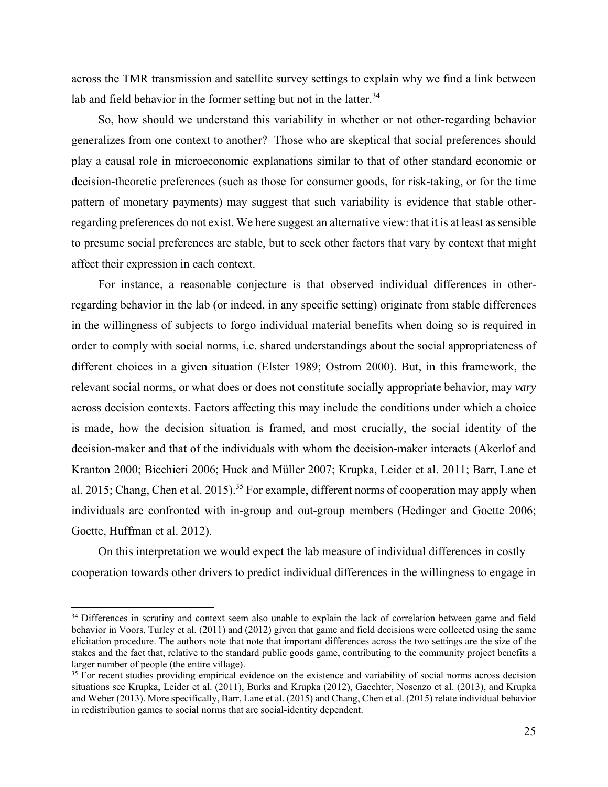across the TMR transmission and satellite survey settings to explain why we find a link between lab and field behavior in the former setting but not in the latter.<sup>34</sup>

So, how should we understand this variability in whether or not other-regarding behavior generalizes from one context to another? Those who are skeptical that social preferences should play a causal role in microeconomic explanations similar to that of other standard economic or decision-theoretic preferences (such as those for consumer goods, for risk-taking, or for the time pattern of monetary payments) may suggest that such variability is evidence that stable otherregarding preferences do not exist. We here suggest an alternative view: that it is at least as sensible to presume social preferences are stable, but to seek other factors that vary by context that might affect their expression in each context.

For instance, a reasonable conjecture is that observed individual differences in otherregarding behavior in the lab (or indeed, in any specific setting) originate from stable differences in the willingness of subjects to forgo individual material benefits when doing so is required in order to comply with social norms, i.e. shared understandings about the social appropriateness of different choices in a given situation (Elster 1989; Ostrom 2000). But, in this framework, the relevant social norms, or what does or does not constitute socially appropriate behavior, may *vary* across decision contexts. Factors affecting this may include the conditions under which a choice is made, how the decision situation is framed, and most crucially, the social identity of the decision-maker and that of the individuals with whom the decision-maker interacts (Akerlof and Kranton 2000; Bicchieri 2006; Huck and Müller 2007; Krupka, Leider et al. 2011; Barr, Lane et al. 2015; Chang, Chen et al. 2015).<sup>35</sup> For example, different norms of cooperation may apply when individuals are confronted with in-group and out-group members (Hedinger and Goette 2006; Goette, Huffman et al. 2012).

On this interpretation we would expect the lab measure of individual differences in costly cooperation towards other drivers to predict individual differences in the willingness to engage in

<sup>&</sup>lt;sup>34</sup> Differences in scrutiny and context seem also unable to explain the lack of correlation between game and field behavior in Voors, Turley et al. (2011) and (2012) given that game and field decisions were collected using the same elicitation procedure. The authors note that note that important differences across the two settings are the size of the stakes and the fact that, relative to the standard public goods game, contributing to the community project benefits a larger number of people (the entire village).

<sup>&</sup>lt;sup>35</sup> For recent studies providing empirical evidence on the existence and variability of social norms across decision situations see Krupka, Leider et al. (2011), Burks and Krupka (2012), Gaechter, Nosenzo et al. (2013), and Krupka and Weber (2013). More specifically, Barr, Lane et al. (2015) and Chang, Chen et al. (2015) relate individual behavior in redistribution games to social norms that are social-identity dependent.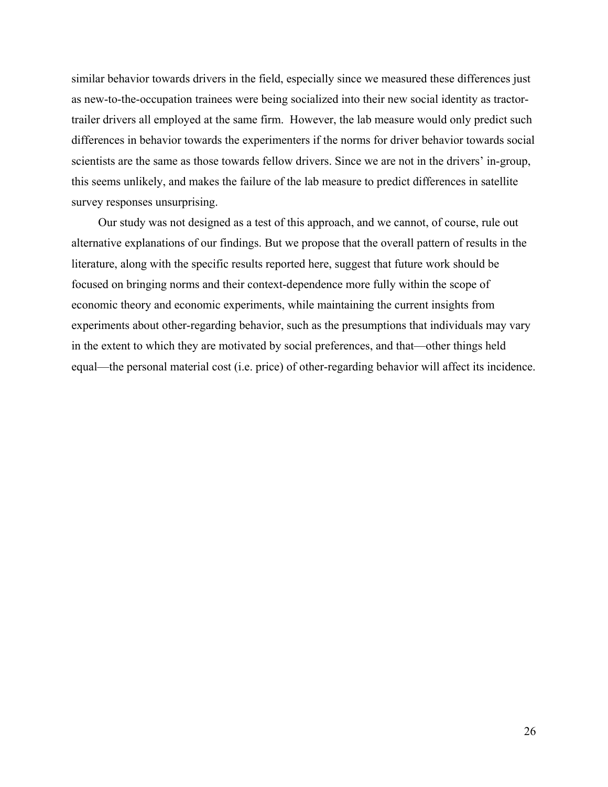similar behavior towards drivers in the field, especially since we measured these differences just as new-to-the-occupation trainees were being socialized into their new social identity as tractortrailer drivers all employed at the same firm. However, the lab measure would only predict such differences in behavior towards the experimenters if the norms for driver behavior towards social scientists are the same as those towards fellow drivers. Since we are not in the drivers' in-group, this seems unlikely, and makes the failure of the lab measure to predict differences in satellite survey responses unsurprising.

Our study was not designed as a test of this approach, and we cannot, of course, rule out alternative explanations of our findings. But we propose that the overall pattern of results in the literature, along with the specific results reported here, suggest that future work should be focused on bringing norms and their context-dependence more fully within the scope of economic theory and economic experiments, while maintaining the current insights from experiments about other-regarding behavior, such as the presumptions that individuals may vary in the extent to which they are motivated by social preferences, and that—other things held equal—the personal material cost (i.e. price) of other-regarding behavior will affect its incidence.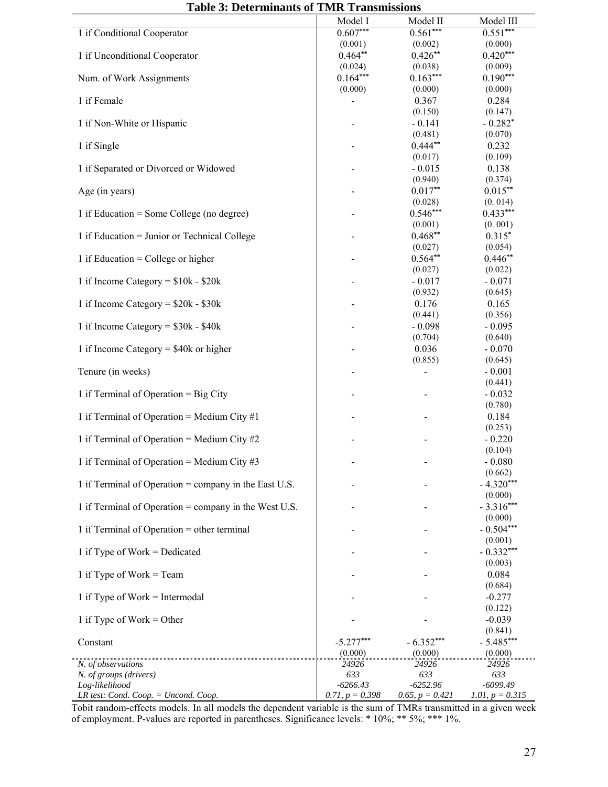|                                                       | Model I                  | Model II                 | Model III              |
|-------------------------------------------------------|--------------------------|--------------------------|------------------------|
| 1 if Conditional Cooperator                           | $0.607***$<br>(0.001)    | $0.561***$<br>(0.002)    | $0.551***$<br>(0.000)  |
| 1 if Unconditional Cooperator                         | $0.464**$                | $0.426**$                | $0.420***$             |
|                                                       | (0.024)                  | (0.038)                  | (0.009)                |
| Num. of Work Assignments                              | $0.164***$<br>(0.000)    | $0.163***$<br>(0.000)    | $0.190***$<br>(0.000)  |
| 1 if Female                                           | $\overline{\phantom{0}}$ | 0.367                    | 0.284                  |
|                                                       |                          | (0.150)                  | (0.147)                |
| 1 if Non-White or Hispanic                            |                          | $-0.141$                 | $-0.282*$              |
| 1 if Single                                           |                          | (0.481)<br>$0.444**$     | (0.070)<br>0.232       |
|                                                       |                          | (0.017)                  | (0.109)                |
| 1 if Separated or Divorced or Widowed                 |                          | $-0.015$                 | 0.138                  |
|                                                       |                          | (0.940)                  | (0.374)                |
| Age (in years)                                        |                          | $0.017**$<br>(0.028)     | $0.015***$<br>(0.014)  |
| 1 if Education = Some College (no degree)             |                          | $0.546***$               | $0.433***$             |
|                                                       |                          | (0.001)                  | (0.001)                |
| 1 if Education = Junior or Technical College          |                          | $0.468**$                | $0.315*$               |
|                                                       |                          | (0.027)<br>$0.564**$     | (0.054)<br>$0.446**$   |
| 1 if Education = College or higher                    |                          | (0.027)                  | (0.022)                |
| 1 if Income Category = $$10k - $20k$                  |                          | $-0.017$                 | $-0.071$               |
|                                                       |                          | (0.932)                  | (0.645)                |
| 1 if Income Category = $$20k - $30k$                  |                          | 0.176                    | 0.165                  |
|                                                       |                          | (0.441)                  | (0.356)                |
| 1 if Income Category = $$30k - $40k$                  |                          | $-0.098$<br>(0.704)      | $-0.095$<br>(0.640)    |
| 1 if Income Category = $$40k$ or higher               |                          | 0.036                    | $-0.070$               |
|                                                       |                          | (0.855)                  | (0.645)                |
| Tenure (in weeks)                                     |                          | $\overline{\phantom{0}}$ | $-0.001$               |
| 1 if Terminal of Operation = Big City                 |                          |                          | (0.441)<br>$-0.032$    |
|                                                       |                          |                          | (0.780)                |
| 1 if Terminal of Operation = Medium City $#1$         |                          |                          | 0.184                  |
| 1 if Terminal of Operation = Medium City $#2$         |                          |                          | (0.253)<br>$-0.220$    |
|                                                       |                          |                          | (0.104)                |
| 1 if Terminal of Operation = Medium City #3           |                          |                          | $-0.080$               |
|                                                       |                          |                          | (0.662)                |
| 1 if Terminal of Operation = company in the East U.S. |                          |                          | $-4.320***$<br>(0.000) |
| 1 if Terminal of Operation = company in the West U.S. |                          |                          | $-3.316***$            |
|                                                       |                          |                          | (0.000)                |
| 1 if Terminal of Operation = other terminal           |                          |                          | $-0.504***$            |
|                                                       |                          |                          | (0.001)                |
| 1 if Type of Work = Dedicated                         |                          |                          | $-0.332***$<br>(0.003) |
| 1 if Type of Work $=$ Team                            |                          |                          | 0.084                  |
|                                                       |                          |                          | (0.684)                |
| 1 if Type of Work $=$ Intermodal                      |                          |                          | $-0.277$               |
| 1 if Type of Work = Other                             |                          |                          | (0.122)<br>$-0.039$    |
|                                                       |                          |                          | (0.841)                |
| Constant                                              | $-5.277***$              | $-6.352***$              | $-5.485***$            |
|                                                       | (0.000)                  | (0.000)                  | (0.000)                |
| N. of observations<br>N. of groups (drivers)          | 24926<br>633             | 24926<br>633             | 24926<br>633           |
| Log-likelihood                                        | $-6266.43$               | $-6252.96$               | $-6099.49$             |
| LR test: Cond. Coop. = Uncond. Coop.                  | 0.71, $p = 0.398$        | 0.65, $p = 0.421$        | 1.01, $p = 0.315$      |

**Table 3: Determinants of TMR Transmissions**

Tobit random-effects models. In all models the dependent variable is the sum of TMRs transmitted in a given week of employment. P-values are reported in parentheses. Significance levels: \* 10%; \*\* 5%; \*\*\* 1%.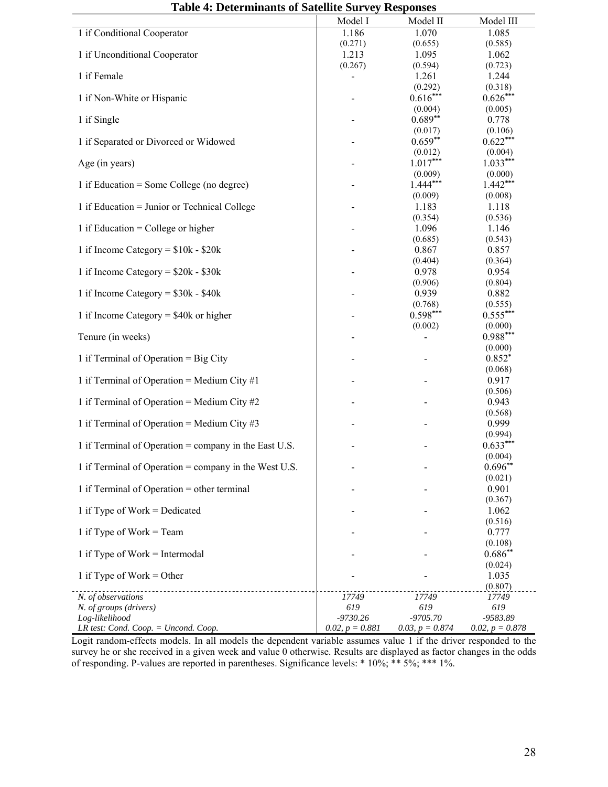| oit ¬. Determinants of satemic survey responses       |                   |                       |                       |
|-------------------------------------------------------|-------------------|-----------------------|-----------------------|
|                                                       | Model I           | Model II              | Model III             |
| 1 if Conditional Cooperator                           | 1.186             | 1.070                 | 1.085                 |
|                                                       | (0.271)           | (0.655)               | (0.585)               |
| 1 if Unconditional Cooperator                         | 1.213             | 1.095                 | 1.062                 |
|                                                       | (0.267)           | (0.594)               | (0.723)               |
| 1 if Female                                           |                   | 1.261                 | 1.244                 |
| 1 if Non-White or Hispanic                            |                   | (0.292)<br>$0.616***$ | (0.318)<br>$0.626***$ |
|                                                       |                   | (0.004)               | (0.005)               |
| 1 if Single                                           |                   | $0.689**$             | 0.778                 |
|                                                       |                   | (0.017)               | (0.106)               |
| 1 if Separated or Divorced or Widowed                 |                   | $0.659**$             | $0.622***$            |
|                                                       |                   | (0.012)               | (0.004)               |
| Age (in years)                                        |                   | $1.017***$            | $1.033***$            |
|                                                       |                   | (0.009)               | (0.000)               |
| 1 if Education = Some College (no degree)             |                   | $1.444***$            | $1.442***$            |
| 1 if Education = Junior or Technical College          |                   | (0.009)<br>1.183      | (0.008)<br>1.118      |
|                                                       |                   | (0.354)               | (0.536)               |
| 1 if Education = College or higher                    |                   | 1.096                 | 1.146                 |
|                                                       |                   | (0.685)               | (0.543)               |
| 1 if Income Category = $$10k - $20k$                  |                   | 0.867                 | 0.857                 |
|                                                       |                   | (0.404)               | (0.364)               |
| 1 if Income Category = $$20k - $30k$                  |                   | 0.978                 | 0.954                 |
|                                                       |                   | (0.906)               | (0.804)               |
| 1 if Income Category = $$30k - $40k$                  |                   | 0.939<br>(0.768)      | 0.882                 |
| 1 if Income Category = $$40k$ or higher               |                   | $0.598***$            | (0.555)<br>$0.555***$ |
|                                                       |                   | (0.002)               | (0.000)               |
| Tenure (in weeks)                                     |                   |                       | $0.988***$            |
|                                                       |                   |                       | (0.000)               |
| 1 if Terminal of Operation = Big City                 |                   |                       | $0.852*$              |
|                                                       |                   |                       | (0.068)               |
| 1 if Terminal of Operation = Medium City $#1$         |                   |                       | 0.917                 |
| 1 if Terminal of Operation = Medium City $#2$         |                   |                       | (0.506)<br>0.943      |
|                                                       |                   |                       | (0.568)               |
| 1 if Terminal of Operation = Medium City $\#3$        |                   |                       | 0.999                 |
|                                                       |                   |                       | (0.994)               |
| 1 if Terminal of Operation = company in the East U.S. |                   |                       | $0.633***$            |
|                                                       |                   |                       | (0.004)               |
| 1 if Terminal of Operation = company in the West U.S. |                   |                       | $0.696**$             |
|                                                       |                   |                       | (0.021)               |
| 1 if Terminal of Operation = other terminal           |                   |                       | 0.901<br>(0.367)      |
| 1 if Type of Work = Dedicated                         |                   |                       | 1.062                 |
|                                                       |                   |                       | (0.516)               |
| 1 if Type of Work = Team                              |                   |                       | 0.777                 |
|                                                       |                   |                       | (0.108)               |
| 1 if Type of Work $=$ Intermodal                      |                   |                       | $0.686**$             |
|                                                       |                   |                       | (0.024)               |
| 1 if Type of Work = Other                             |                   |                       | 1.035                 |
| N. of observations                                    | 17749             | 17749                 | (0.807)<br>17749      |
| N. of groups (drivers)                                | 619               | 619                   | 619                   |
| Log-likelihood                                        | $-9730.26$        | $-9705.70$            | -9583.89              |
| LR test: Cond. Coop. = Uncond. Coop.                  | $0.02, p = 0.881$ | $0.03, p = 0.874$     | 0.02, $p = 0.878$     |

**Table 4: Determinants of Satellite Survey Responses** 

Logit random-effects models. In all models the dependent variable assumes value 1 if the driver responded to the survey he or she received in a given week and value 0 otherwise. Results are displayed as factor changes in the odds of responding. P-values are reported in parentheses. Significance levels: \* 10%; \*\* 5%; \*\*\* 1%.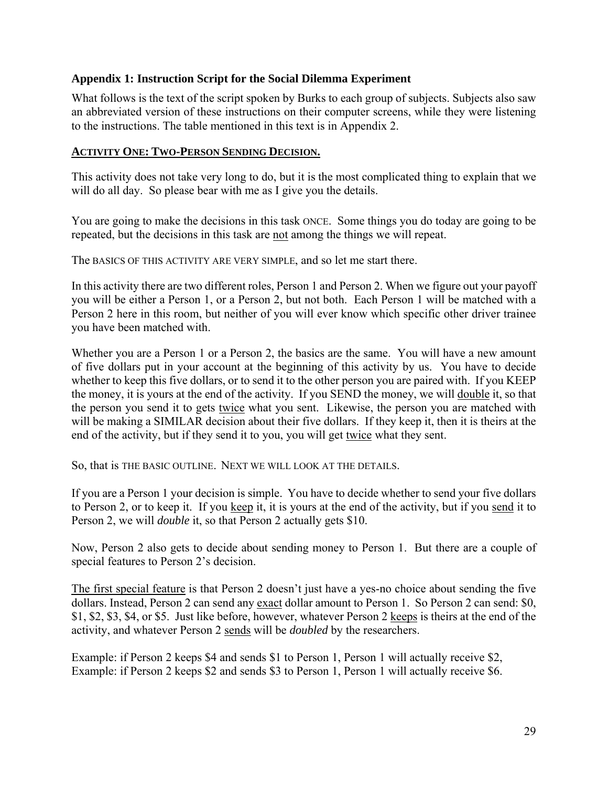#### **Appendix 1: Instruction Script for the Social Dilemma Experiment**

What follows is the text of the script spoken by Burks to each group of subjects. Subjects also saw an abbreviated version of these instructions on their computer screens, while they were listening to the instructions. The table mentioned in this text is in Appendix 2.

#### **ACTIVITY ONE: TWO-PERSON SENDING DECISION.**

This activity does not take very long to do, but it is the most complicated thing to explain that we will do all day. So please bear with me as I give you the details.

You are going to make the decisions in this task ONCE. Some things you do today are going to be repeated, but the decisions in this task are not among the things we will repeat.

The BASICS OF THIS ACTIVITY ARE VERY SIMPLE, and so let me start there.

In this activity there are two different roles, Person 1 and Person 2. When we figure out your payoff you will be either a Person 1, or a Person 2, but not both. Each Person 1 will be matched with a Person 2 here in this room, but neither of you will ever know which specific other driver trainee you have been matched with.

Whether you are a Person 1 or a Person 2, the basics are the same. You will have a new amount of five dollars put in your account at the beginning of this activity by us. You have to decide whether to keep this five dollars, or to send it to the other person you are paired with. If you KEEP the money, it is yours at the end of the activity. If you SEND the money, we will double it, so that the person you send it to gets twice what you sent. Likewise, the person you are matched with will be making a SIMILAR decision about their five dollars. If they keep it, then it is theirs at the end of the activity, but if they send it to you, you will get twice what they sent.

So, that is THE BASIC OUTLINE. NEXT WE WILL LOOK AT THE DETAILS.

If you are a Person 1 your decision is simple. You have to decide whether to send your five dollars to Person 2, or to keep it. If you keep it, it is yours at the end of the activity, but if you send it to Person 2, we will *double* it, so that Person 2 actually gets \$10.

Now, Person 2 also gets to decide about sending money to Person 1. But there are a couple of special features to Person 2's decision.

The first special feature is that Person 2 doesn't just have a yes-no choice about sending the five dollars. Instead, Person 2 can send any exact dollar amount to Person 1. So Person 2 can send: \$0, \$1, \$2, \$3, \$4, or \$5. Just like before, however, whatever Person 2 keeps is theirs at the end of the activity, and whatever Person 2 sends will be *doubled* by the researchers.

Example: if Person 2 keeps \$4 and sends \$1 to Person 1, Person 1 will actually receive \$2, Example: if Person 2 keeps \$2 and sends \$3 to Person 1, Person 1 will actually receive \$6.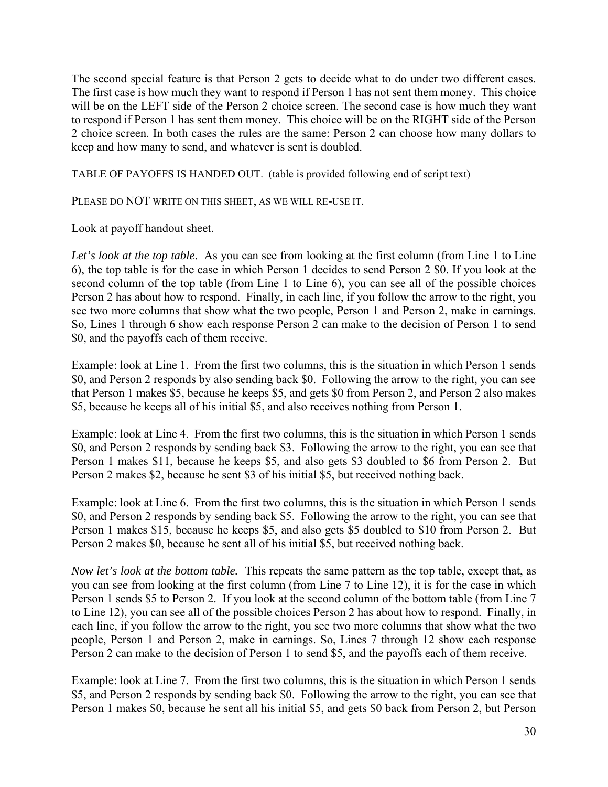The second special feature is that Person 2 gets to decide what to do under two different cases. The first case is how much they want to respond if Person 1 has not sent them money. This choice will be on the LEFT side of the Person 2 choice screen. The second case is how much they want to respond if Person 1 has sent them money. This choice will be on the RIGHT side of the Person 2 choice screen. In both cases the rules are the same: Person 2 can choose how many dollars to keep and how many to send, and whatever is sent is doubled.

TABLE OF PAYOFFS IS HANDED OUT. (table is provided following end of script text)

PLEASE DO NOT WRITE ON THIS SHEET, AS WE WILL RE-USE IT.

Look at payoff handout sheet.

Let's look at the top table. As you can see from looking at the first column (from Line 1 to Line 6), the top table is for the case in which Person 1 decides to send Person 2 \$0. If you look at the second column of the top table (from Line 1 to Line 6), you can see all of the possible choices Person 2 has about how to respond. Finally, in each line, if you follow the arrow to the right, you see two more columns that show what the two people, Person 1 and Person 2, make in earnings. So, Lines 1 through 6 show each response Person 2 can make to the decision of Person 1 to send \$0, and the payoffs each of them receive.

Example: look at Line 1. From the first two columns, this is the situation in which Person 1 sends \$0, and Person 2 responds by also sending back \$0. Following the arrow to the right, you can see that Person 1 makes \$5, because he keeps \$5, and gets \$0 from Person 2, and Person 2 also makes \$5, because he keeps all of his initial \$5, and also receives nothing from Person 1.

Example: look at Line 4. From the first two columns, this is the situation in which Person 1 sends \$0, and Person 2 responds by sending back \$3. Following the arrow to the right, you can see that Person 1 makes \$11, because he keeps \$5, and also gets \$3 doubled to \$6 from Person 2. But Person 2 makes \$2, because he sent \$3 of his initial \$5, but received nothing back.

Example: look at Line 6. From the first two columns, this is the situation in which Person 1 sends \$0, and Person 2 responds by sending back \$5. Following the arrow to the right, you can see that Person 1 makes \$15, because he keeps \$5, and also gets \$5 doubled to \$10 from Person 2. But Person 2 makes \$0, because he sent all of his initial \$5, but received nothing back.

*Now let's look at the bottom table.* This repeats the same pattern as the top table, except that, as you can see from looking at the first column (from Line 7 to Line 12), it is for the case in which Person 1 sends \$5 to Person 2. If you look at the second column of the bottom table (from Line 7 to Line 12), you can see all of the possible choices Person 2 has about how to respond. Finally, in each line, if you follow the arrow to the right, you see two more columns that show what the two people, Person 1 and Person 2, make in earnings. So, Lines 7 through 12 show each response Person 2 can make to the decision of Person 1 to send \$5, and the payoffs each of them receive.

Example: look at Line 7. From the first two columns, this is the situation in which Person 1 sends \$5, and Person 2 responds by sending back \$0. Following the arrow to the right, you can see that Person 1 makes \$0, because he sent all his initial \$5, and gets \$0 back from Person 2, but Person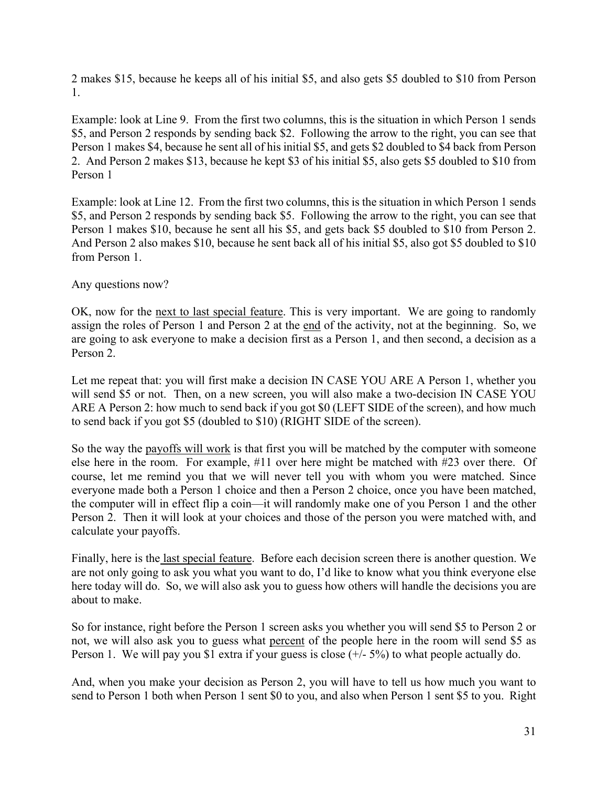2 makes \$15, because he keeps all of his initial \$5, and also gets \$5 doubled to \$10 from Person 1.

Example: look at Line 9. From the first two columns, this is the situation in which Person 1 sends \$5, and Person 2 responds by sending back \$2. Following the arrow to the right, you can see that Person 1 makes \$4, because he sent all of his initial \$5, and gets \$2 doubled to \$4 back from Person 2. And Person 2 makes \$13, because he kept \$3 of his initial \$5, also gets \$5 doubled to \$10 from Person 1

Example: look at Line 12. From the first two columns, this is the situation in which Person 1 sends \$5, and Person 2 responds by sending back \$5. Following the arrow to the right, you can see that Person 1 makes \$10, because he sent all his \$5, and gets back \$5 doubled to \$10 from Person 2. And Person 2 also makes \$10, because he sent back all of his initial \$5, also got \$5 doubled to \$10 from Person 1.

Any questions now?

OK, now for the next to last special feature. This is very important. We are going to randomly assign the roles of Person 1 and Person 2 at the end of the activity, not at the beginning. So, we are going to ask everyone to make a decision first as a Person 1, and then second, a decision as a Person 2.

Let me repeat that: you will first make a decision IN CASE YOU ARE A Person 1, whether you will send \$5 or not. Then, on a new screen, you will also make a two-decision IN CASE YOU ARE A Person 2: how much to send back if you got \$0 (LEFT SIDE of the screen), and how much to send back if you got \$5 (doubled to \$10) (RIGHT SIDE of the screen).

So the way the payoffs will work is that first you will be matched by the computer with someone else here in the room. For example, #11 over here might be matched with #23 over there. Of course, let me remind you that we will never tell you with whom you were matched. Since everyone made both a Person 1 choice and then a Person 2 choice, once you have been matched, the computer will in effect flip a coin—it will randomly make one of you Person 1 and the other Person 2. Then it will look at your choices and those of the person you were matched with, and calculate your payoffs.

Finally, here is the last special feature. Before each decision screen there is another question. We are not only going to ask you what you want to do, I'd like to know what you think everyone else here today will do. So, we will also ask you to guess how others will handle the decisions you are about to make.

So for instance, right before the Person 1 screen asks you whether you will send \$5 to Person 2 or not, we will also ask you to guess what percent of the people here in the room will send \$5 as Person 1. We will pay you \$1 extra if your guess is close (+/- 5%) to what people actually do.

And, when you make your decision as Person 2, you will have to tell us how much you want to send to Person 1 both when Person 1 sent \$0 to you, and also when Person 1 sent \$5 to you. Right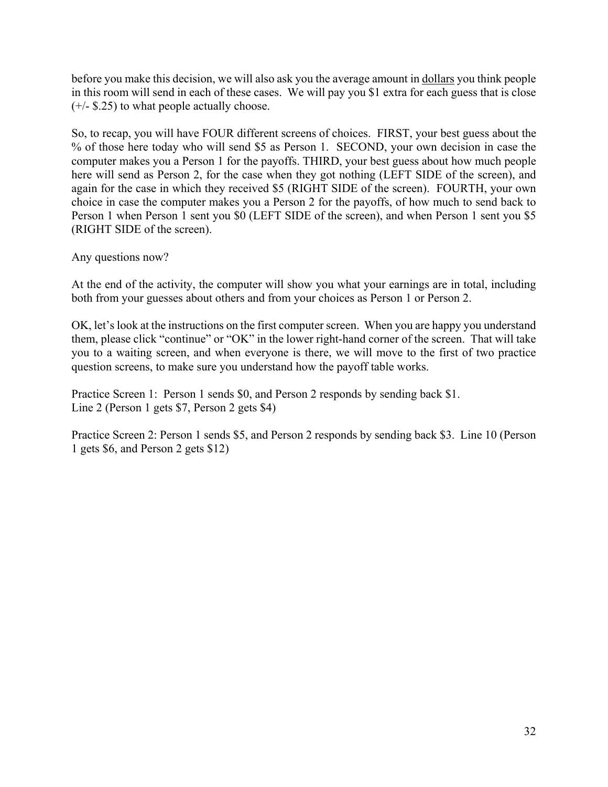before you make this decision, we will also ask you the average amount in dollars you think people in this room will send in each of these cases. We will pay you \$1 extra for each guess that is close  $(+/-$  \$.25) to what people actually choose.

So, to recap, you will have FOUR different screens of choices. FIRST, your best guess about the % of those here today who will send \$5 as Person 1. SECOND, your own decision in case the computer makes you a Person 1 for the payoffs. THIRD, your best guess about how much people here will send as Person 2, for the case when they got nothing (LEFT SIDE of the screen), and again for the case in which they received \$5 (RIGHT SIDE of the screen). FOURTH, your own choice in case the computer makes you a Person 2 for the payoffs, of how much to send back to Person 1 when Person 1 sent you \$0 (LEFT SIDE of the screen), and when Person 1 sent you \$5 (RIGHT SIDE of the screen).

Any questions now?

At the end of the activity, the computer will show you what your earnings are in total, including both from your guesses about others and from your choices as Person 1 or Person 2.

OK, let's look at the instructions on the first computer screen. When you are happy you understand them, please click "continue" or "OK" in the lower right-hand corner of the screen. That will take you to a waiting screen, and when everyone is there, we will move to the first of two practice question screens, to make sure you understand how the payoff table works.

Practice Screen 1: Person 1 sends \$0, and Person 2 responds by sending back \$1. Line 2 (Person 1 gets \$7, Person 2 gets \$4)

Practice Screen 2: Person 1 sends \$5, and Person 2 responds by sending back \$3. Line 10 (Person 1 gets \$6, and Person 2 gets \$12)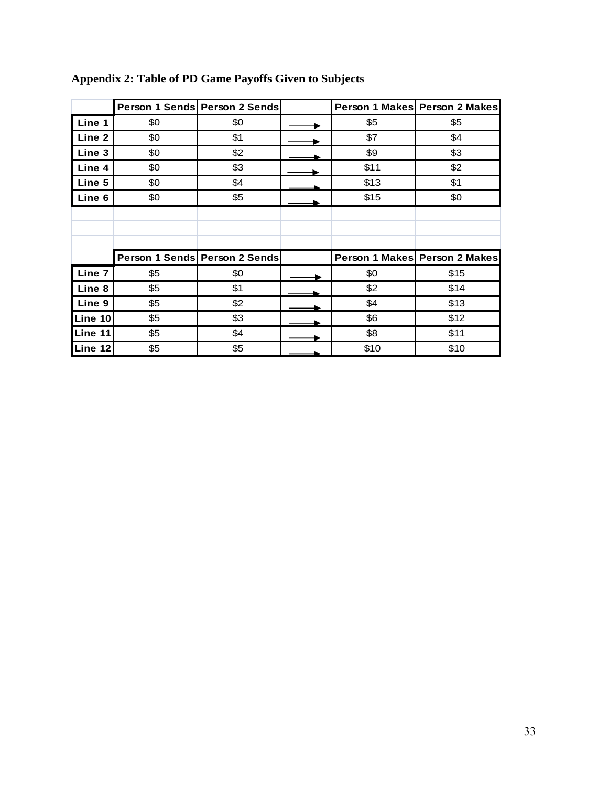|         |     | Person 1 Sends Person 2 Sends |      | Person 1 Makes Person 2 Makes |
|---------|-----|-------------------------------|------|-------------------------------|
| Line 1  | \$0 | \$0                           | \$5  | \$5                           |
| Line 2  | \$0 | \$1                           | \$7  | \$4                           |
| Line 3  | \$0 | \$2                           | \$9  | \$3                           |
| Line 4  | \$0 | \$3                           | \$11 | \$2                           |
| Line 5  | \$0 | \$4                           | \$13 | \$1                           |
| Line 6  | \$0 | \$5                           | \$15 | \$0                           |
|         |     |                               |      |                               |
|         |     |                               |      |                               |
|         |     |                               |      |                               |
|         |     | Person 1 Sends Person 2 Sends |      | Person 1 Makes Person 2 Makes |
| Line 7  | \$5 | \$0                           | \$0  | \$15                          |
| Line 8  | \$5 | \$1                           | \$2  | \$14                          |
| Line 9  | \$5 | \$2                           | \$4  | \$13                          |
| Line 10 | \$5 | \$3                           | \$6  | \$12                          |
| Line 11 | \$5 | \$4                           | \$8  | \$11                          |
| Line 12 | \$5 | \$5                           | \$10 | \$10                          |

## **Appendix 2: Table of PD Game Payoffs Given to Subjects**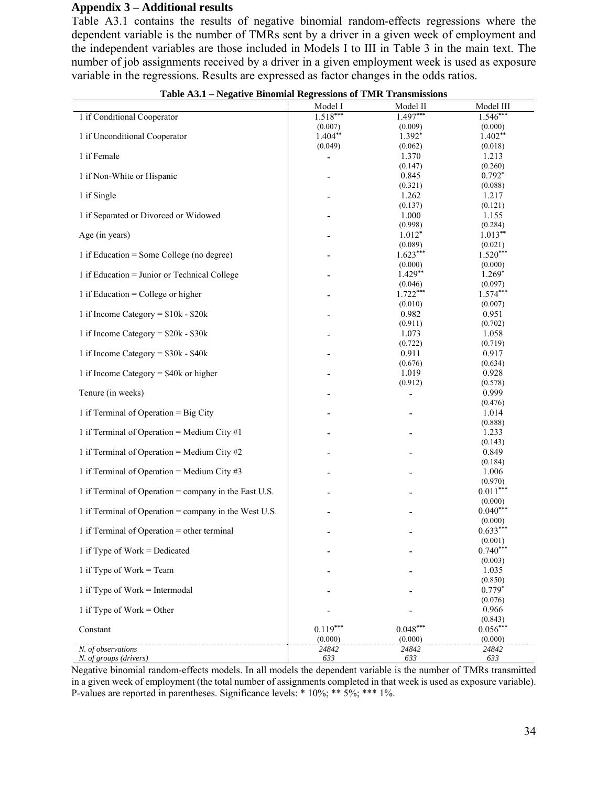#### **Appendix 3 – Additional results**

Table A3.1 contains the results of negative binomial random-effects regressions where the dependent variable is the number of TMRs sent by a driver in a given week of employment and the independent variables are those included in Models I to III in Table 3 in the main text. The number of job assignments received by a driver in a given employment week is used as exposure variable in the regressions. Results are expressed as factor changes in the odds ratios.

|                                                       | Model I<br>$1.518***$    | Model II<br>$1.497***$       | Model III<br>$1.546***$ |
|-------------------------------------------------------|--------------------------|------------------------------|-------------------------|
| 1 if Conditional Cooperator                           | (0.007)                  | (0.009)                      | (0.000)                 |
| 1 if Unconditional Cooperator                         | $1.404**$                | 1.392*                       | $1.402**$               |
|                                                       | (0.049)                  | (0.062)                      | (0.018)                 |
| 1 if Female                                           | $\overline{\phantom{0}}$ | 1.370                        | 1.213                   |
|                                                       |                          | (0.147)                      | (0.260)                 |
| 1 if Non-White or Hispanic                            |                          | 0.845                        | $0.792*$                |
| 1 if Single                                           |                          | (0.321)<br>1.262             | (0.088)<br>1.217        |
|                                                       |                          | (0.137)                      | (0.121)                 |
| 1 if Separated or Divorced or Widowed                 |                          | 1.000                        | 1.155                   |
|                                                       |                          | (0.998)                      | (0.284)                 |
| Age (in years)                                        |                          | $1.012*$                     | $1.013**$               |
|                                                       |                          | (0.089)                      | (0.021)                 |
| 1 if Education = Some College (no degree)             |                          | $1.623***$<br>(0.000)        | $1.520***$<br>(0.000)   |
| 1 if Education = Junior or Technical College          |                          | $1.429**$                    | $1.269*$                |
|                                                       |                          | (0.046)                      | (0.097)                 |
| 1 if Education = College or higher                    |                          | $1.722***$                   | $1.574***$              |
|                                                       |                          | (0.010)                      | (0.007)                 |
| 1 if Income Category = $$10k - $20k$                  |                          | 0.982                        | 0.951                   |
| 1 if Income Category = $$20k - $30k$                  |                          | (0.911)<br>1.073             | (0.702)<br>1.058        |
|                                                       |                          | (0.722)                      | (0.719)                 |
| 1 if Income Category = $$30k - $40k$                  |                          | 0.911                        | 0.917                   |
|                                                       |                          | (0.676)                      | (0.634)                 |
| 1 if Income Category = $$40k$ or higher               |                          | 1.019                        | 0.928                   |
|                                                       |                          | (0.912)                      | (0.578)<br>0.999        |
| Tenure (in weeks)                                     |                          | $\qquad \qquad \blacksquare$ | (0.476)                 |
| 1 if Terminal of Operation = Big City                 |                          |                              | 1.014                   |
|                                                       |                          |                              | (0.888)                 |
| 1 if Terminal of Operation = Medium City $#1$         |                          |                              | 1.233                   |
|                                                       |                          |                              | (0.143)                 |
| 1 if Terminal of Operation = Medium City $#2$         |                          |                              | 0.849<br>(0.184)        |
| 1 if Terminal of Operation = Medium City $#3$         |                          |                              | 1.006                   |
|                                                       |                          |                              | (0.970)                 |
| 1 if Terminal of Operation = company in the East U.S. |                          |                              | $0.011***$              |
|                                                       |                          |                              | (0.000)                 |
| 1 if Terminal of Operation = company in the West U.S. |                          |                              | $0.040***$              |
| 1 if Terminal of Operation = other terminal           |                          |                              | (0.000)<br>$0.633***$   |
|                                                       |                          |                              | (0.001)                 |
| 1 if Type of Work = Dedicated                         |                          |                              | $0.740***$              |
|                                                       |                          |                              | (0.003)                 |
| 1 if Type of Work = Team                              |                          |                              | 1.035                   |
|                                                       |                          |                              | (0.850)<br>$0.779*$     |
| 1 if Type of Work = Intermodal                        |                          |                              | (0.076)                 |
| 1 if Type of Work = Other                             |                          |                              | 0.966                   |
|                                                       |                          |                              | (0.843)                 |
| Constant                                              | $0.119***$               | $0.048***$                   | $0.056***$              |
|                                                       | (0.000)                  | (0.000)                      | (0.000)                 |
| N. of observations<br>N. of groups (drivers)          | 24842<br>633             | 24842<br>633                 | 24842<br>633            |

**Table A3.1 – Negative Binomial Regressions of TMR Transmissions** 

Negative binomial random-effects models. In all models the dependent variable is the number of TMRs transmitted in a given week of employment (the total number of assignments completed in that week is used as exposure variable). P-values are reported in parentheses. Significance levels: \* 10%; \*\* 5%; \*\*\* 1%.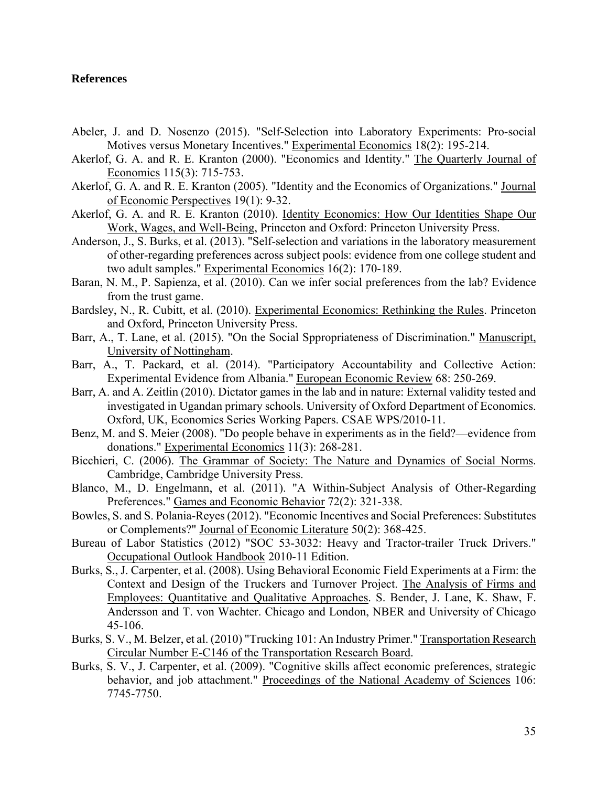#### **References**

- Abeler, J. and D. Nosenzo (2015). "Self-Selection into Laboratory Experiments: Pro-social Motives versus Monetary Incentives." Experimental Economics 18(2): 195-214.
- Akerlof, G. A. and R. E. Kranton (2000). "Economics and Identity." The Quarterly Journal of Economics 115(3): 715-753.
- Akerlof, G. A. and R. E. Kranton (2005). "Identity and the Economics of Organizations." Journal of Economic Perspectives 19(1): 9-32.
- Akerlof, G. A. and R. E. Kranton (2010). Identity Economics: How Our Identities Shape Our Work, Wages, and Well-Being, Princeton and Oxford: Princeton University Press.
- Anderson, J., S. Burks, et al. (2013). "Self-selection and variations in the laboratory measurement of other-regarding preferences across subject pools: evidence from one college student and two adult samples." Experimental Economics 16(2): 170-189.
- Baran, N. M., P. Sapienza, et al. (2010). Can we infer social preferences from the lab? Evidence from the trust game.
- Bardsley, N., R. Cubitt, et al. (2010). Experimental Economics: Rethinking the Rules. Princeton and Oxford, Princeton University Press.
- Barr, A., T. Lane, et al. (2015). "On the Social Sppropriateness of Discrimination." Manuscript, University of Nottingham.
- Barr, A., T. Packard, et al. (2014). "Participatory Accountability and Collective Action: Experimental Evidence from Albania." European Economic Review 68: 250-269.
- Barr, A. and A. Zeitlin (2010). Dictator games in the lab and in nature: External validity tested and investigated in Ugandan primary schools. University of Oxford Department of Economics. Oxford, UK, Economics Series Working Papers. CSAE WPS/2010-11.
- Benz, M. and S. Meier (2008). "Do people behave in experiments as in the field?—evidence from donations." Experimental Economics 11(3): 268-281.
- Bicchieri, C. (2006). The Grammar of Society: The Nature and Dynamics of Social Norms. Cambridge, Cambridge University Press.
- Blanco, M., D. Engelmann, et al. (2011). "A Within-Subject Analysis of Other-Regarding Preferences." Games and Economic Behavior 72(2): 321-338.
- Bowles, S. and S. Polania-Reyes (2012). "Economic Incentives and Social Preferences: Substitutes or Complements?" Journal of Economic Literature 50(2): 368-425.
- Bureau of Labor Statistics (2012) "SOC 53-3032: Heavy and Tractor-trailer Truck Drivers." Occupational Outlook Handbook 2010-11 Edition.
- Burks, S., J. Carpenter, et al. (2008). Using Behavioral Economic Field Experiments at a Firm: the Context and Design of the Truckers and Turnover Project. The Analysis of Firms and Employees: Quantitative and Qualitative Approaches. S. Bender, J. Lane, K. Shaw, F. Andersson and T. von Wachter. Chicago and London, NBER and University of Chicago 45-106.
- Burks, S. V., M. Belzer, et al. (2010) "Trucking 101: An Industry Primer." Transportation Research Circular Number E-C146 of the Transportation Research Board.
- Burks, S. V., J. Carpenter, et al. (2009). "Cognitive skills affect economic preferences, strategic behavior, and job attachment." Proceedings of the National Academy of Sciences 106: 7745-7750.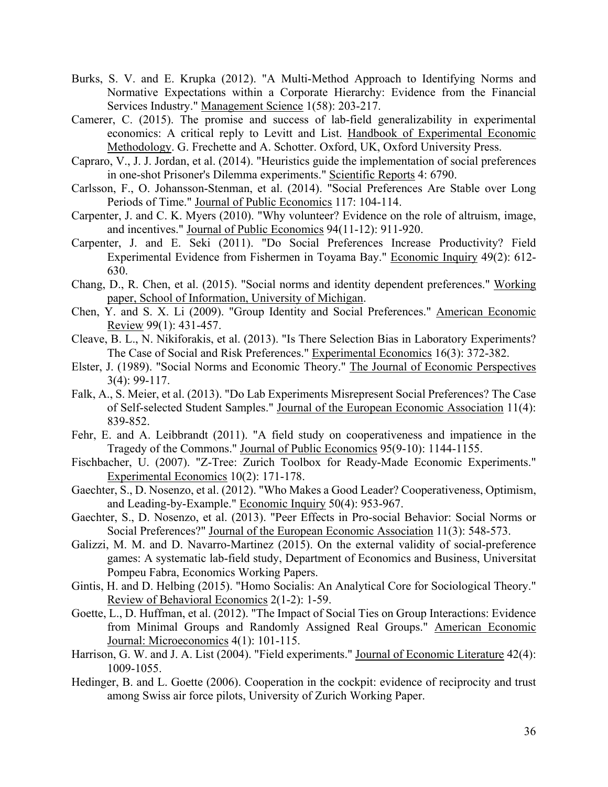- Burks, S. V. and E. Krupka (2012). "A Multi-Method Approach to Identifying Norms and Normative Expectations within a Corporate Hierarchy: Evidence from the Financial Services Industry." Management Science 1(58): 203-217.
- Camerer, C. (2015). The promise and success of lab-field generalizability in experimental economics: A critical reply to Levitt and List. Handbook of Experimental Economic Methodology. G. Frechette and A. Schotter. Oxford, UK, Oxford University Press.
- Capraro, V., J. J. Jordan, et al. (2014). "Heuristics guide the implementation of social preferences in one-shot Prisoner's Dilemma experiments." Scientific Reports 4: 6790.
- Carlsson, F., O. Johansson-Stenman, et al. (2014). "Social Preferences Are Stable over Long Periods of Time." Journal of Public Economics 117: 104-114.
- Carpenter, J. and C. K. Myers (2010). "Why volunteer? Evidence on the role of altruism, image, and incentives." Journal of Public Economics 94(11-12): 911-920.
- Carpenter, J. and E. Seki (2011). "Do Social Preferences Increase Productivity? Field Experimental Evidence from Fishermen in Toyama Bay." Economic Inquiry 49(2): 612- 630.
- Chang, D., R. Chen, et al. (2015). "Social norms and identity dependent preferences." Working paper, School of Information, University of Michigan.
- Chen, Y. and S. X. Li (2009). "Group Identity and Social Preferences." American Economic Review 99(1): 431-457.
- Cleave, B. L., N. Nikiforakis, et al. (2013). "Is There Selection Bias in Laboratory Experiments? The Case of Social and Risk Preferences." Experimental Economics 16(3): 372-382.
- Elster, J. (1989). "Social Norms and Economic Theory." The Journal of Economic Perspectives 3(4): 99-117.
- Falk, A., S. Meier, et al. (2013). "Do Lab Experiments Misrepresent Social Preferences? The Case of Self-selected Student Samples." Journal of the European Economic Association 11(4): 839-852.
- Fehr, E. and A. Leibbrandt (2011). "A field study on cooperativeness and impatience in the Tragedy of the Commons." Journal of Public Economics 95(9-10): 1144-1155.
- Fischbacher, U. (2007). "Z-Tree: Zurich Toolbox for Ready-Made Economic Experiments." Experimental Economics 10(2): 171-178.
- Gaechter, S., D. Nosenzo, et al. (2012). "Who Makes a Good Leader? Cooperativeness, Optimism, and Leading-by-Example." Economic Inquiry 50(4): 953-967.
- Gaechter, S., D. Nosenzo, et al. (2013). "Peer Effects in Pro-social Behavior: Social Norms or Social Preferences?" Journal of the European Economic Association 11(3): 548-573.
- Galizzi, M. M. and D. Navarro-Martinez (2015). On the external validity of social-preference games: A systematic lab-field study, Department of Economics and Business, Universitat Pompeu Fabra, Economics Working Papers.
- Gintis, H. and D. Helbing (2015). "Homo Socialis: An Analytical Core for Sociological Theory." Review of Behavioral Economics 2(1-2): 1-59.
- Goette, L., D. Huffman, et al. (2012). "The Impact of Social Ties on Group Interactions: Evidence from Minimal Groups and Randomly Assigned Real Groups." American Economic Journal: Microeconomics 4(1): 101-115.
- Harrison, G. W. and J. A. List (2004). "Field experiments." Journal of Economic Literature 42(4): 1009-1055.
- Hedinger, B. and L. Goette (2006). Cooperation in the cockpit: evidence of reciprocity and trust among Swiss air force pilots, University of Zurich Working Paper.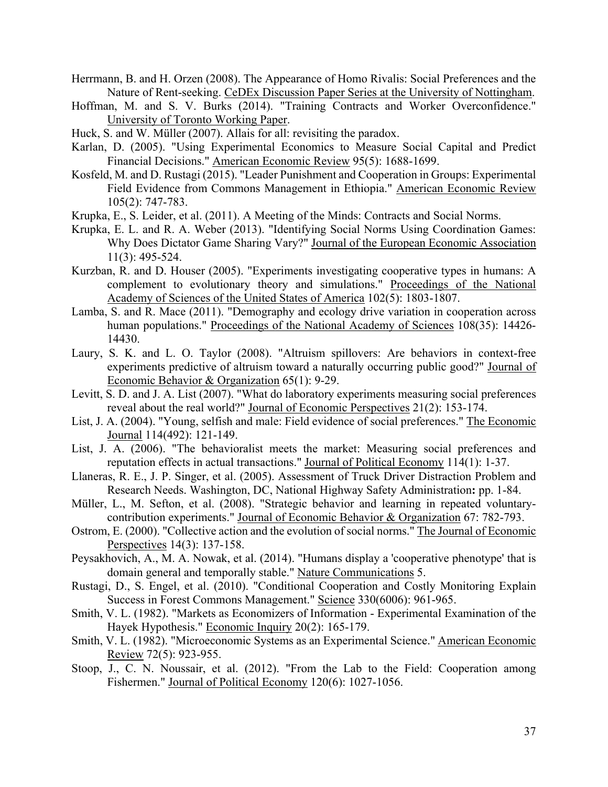- Herrmann, B. and H. Orzen (2008). The Appearance of Homo Rivalis: Social Preferences and the Nature of Rent-seeking. CeDEx Discussion Paper Series at the University of Nottingham.
- Hoffman, M. and S. V. Burks (2014). "Training Contracts and Worker Overconfidence." University of Toronto Working Paper.
- Huck, S. and W. Müller (2007). Allais for all: revisiting the paradox.
- Karlan, D. (2005). "Using Experimental Economics to Measure Social Capital and Predict Financial Decisions." American Economic Review 95(5): 1688-1699.
- Kosfeld, M. and D. Rustagi (2015). "Leader Punishment and Cooperation in Groups: Experimental Field Evidence from Commons Management in Ethiopia." American Economic Review 105(2): 747-783.
- Krupka, E., S. Leider, et al. (2011). A Meeting of the Minds: Contracts and Social Norms.
- Krupka, E. L. and R. A. Weber (2013). "Identifying Social Norms Using Coordination Games: Why Does Dictator Game Sharing Vary?" Journal of the European Economic Association 11(3): 495-524.
- Kurzban, R. and D. Houser (2005). "Experiments investigating cooperative types in humans: A complement to evolutionary theory and simulations." Proceedings of the National Academy of Sciences of the United States of America 102(5): 1803-1807.
- Lamba, S. and R. Mace (2011). "Demography and ecology drive variation in cooperation across human populations." Proceedings of the National Academy of Sciences 108(35): 14426-14430.
- Laury, S. K. and L. O. Taylor (2008). "Altruism spillovers: Are behaviors in context-free experiments predictive of altruism toward a naturally occurring public good?" Journal of Economic Behavior & Organization 65(1): 9-29.
- Levitt, S. D. and J. A. List (2007). "What do laboratory experiments measuring social preferences reveal about the real world?" Journal of Economic Perspectives 21(2): 153-174.
- List, J. A. (2004). "Young, selfish and male: Field evidence of social preferences." The Economic Journal 114(492): 121-149.
- List, J. A. (2006). "The behavioralist meets the market: Measuring social preferences and reputation effects in actual transactions." Journal of Political Economy 114(1): 1-37.
- Llaneras, R. E., J. P. Singer, et al. (2005). Assessment of Truck Driver Distraction Problem and Research Needs. Washington, DC, National Highway Safety Administration**:** pp. 1-84.
- Müller, L., M. Sefton, et al. (2008). "Strategic behavior and learning in repeated voluntarycontribution experiments." Journal of Economic Behavior & Organization 67: 782-793.
- Ostrom, E. (2000). "Collective action and the evolution of social norms." The Journal of Economic Perspectives 14(3): 137-158.
- Peysakhovich, A., M. A. Nowak, et al. (2014). "Humans display a 'cooperative phenotype' that is domain general and temporally stable." Nature Communications 5.
- Rustagi, D., S. Engel, et al. (2010). "Conditional Cooperation and Costly Monitoring Explain Success in Forest Commons Management." Science 330(6006): 961-965.
- Smith, V. L. (1982). "Markets as Economizers of Information Experimental Examination of the Hayek Hypothesis." Economic Inquiry 20(2): 165-179.
- Smith, V. L. (1982). "Microeconomic Systems as an Experimental Science." American Economic Review 72(5): 923-955.
- Stoop, J., C. N. Noussair, et al. (2012). "From the Lab to the Field: Cooperation among Fishermen." Journal of Political Economy 120(6): 1027-1056.